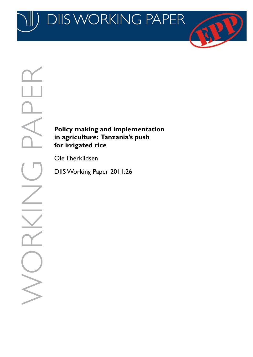JKKII NU 1 PA DIIS WORKING

# **Policy making and implementation in agriculture: Tanzania's push for irrigated rice**

Ole Therkildsen

DIIS Working Paper 2011:26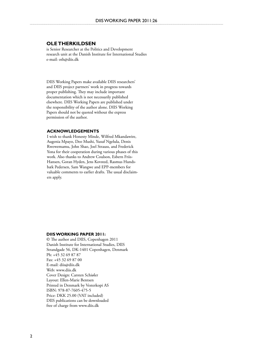#### **Ole Therkildsen**

is Senior Researcher at the Politics and Development research unit at the Danish Institute for International Studies e-mail: oth@diis.dk

DIIS Working Papers make available DIIS researchers' and DIIS project partners' work in progress towards proper publishing. They may include important documentation which is not necessarily published elsewhere. DIIS Working Papers are published under the responsibility of the author alone. DIIS Working Papers should not be quoted without the express permission of the author.

#### **Acknowledgements**

I wish to thank Honesty Minde, Wilfred Mkandawire, Augenia Mpayo, Deo Mushi, Yusuf Ngelula, Denis Rwewemamu, John Shao, Joel Strauss, and Frederick Yona for their cooperation during various phases of this work. Also thanks to Andrew Coulson, Esbern Friis-Hansen, Goran Hyden, Jens Kovsted, Rasmus Hundsbæk Pedersen, Sam Wangwe and EPP-members for valuable comments to earlier drafts. The usual disclaimers apply.

#### **DIIS WORKING PAPER 2011:**

© The author and DIIS, Copenhagen 2011 Danish Institute for International Studies, DIIS Strandgade 56, DK-1401 Copenhagen, Denmark Ph: +45 32 69 87 87 Fax: +45 32 69 87 00 E-mail: diis@diis.dk Web: www.diis.dk Cover Design: Carsten Schiøler Layout: Ellen-Marie Bentsen Printed in Denmark by Vesterkopi AS ISBN: 978-87-7605-475-5 Price: DKK 25.00 (VAT included) DIIS publications can be downloaded free of charge from www.diis.dk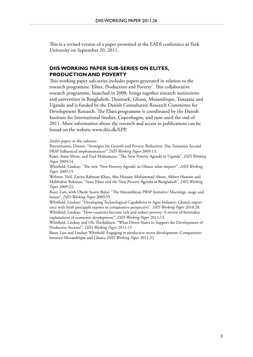This is a revised version of a paper presented at the EADI conference at York University on September 20, 2011.

# **DIIS WORKING PAPER SUB-SERIES ON ELITES, PRODUCTION AND POVERTY**

This working paper sub-series includes papers generated in relation to the research programme 'Elites, Production and Poverty'. This collaborative research programme, launched in 2008, brings together research institutions and universities in Bangladesh, Denmark, Ghana, Mozambique, Tanzania and Uganda and is funded by the Danish Consultative Research Committee for Development Research. The Elites programme is coordinated by the Danish Institute for International Studies, Copenhagen, and runs until the end of 2011. More information about the research and access to publications can be found on the website www.diis.dk/EPP.

#### *Earlier papers in this subseries:*

Rweyemamu, Dennis: "Strategies for Growth and Poverty Reduction: Has Tanzania's Second PRSP Influenced implementation?" *DIIS Working Paper* 2009:13.

Kjaer, Anne Mette, and Fred Muhumuza: "The New Poverty Agenda in Uganda", *DIIS Working Paper* 2009:14.

Whitfield, Lindsay: "The new 'New Powerty Agenda' in Ghana: what impact?", *DIIS Working Paper* 2009:15.

Webster, Neil, Zarina Rahman Khan, Abu Hossain Muhammad Ahsan, Akhter Hussain and Mahbubur Rahman: "State Elites and the New Poverty Agenda in Bangladesh", *DIIS Working Paper* 2009:22.

Buur, Lars, with Obede Suarte Baloi: "The Mozambican PRSP Initiative: Moorings, usage and future", *DIIS Working Paper* 2009:35.

Whitfield, Lindsay: "Developing Technological Capabilities in Agro-Industry: Ghana's experience with fresh pineapple exports in comparative perspective", *DIIS Working Paper* 2010:28. Whitfield, Lindsay: "How countries become rich and reduce poverty: A review of heterodox explanations of economic development", *DIIS Working Paper* 2011:13.

Whitfield, Lindsay and Ole Therkildsen: "What Drives States to Support the Development of Productive Sectors?", *DIIS Working Paper* 2011:15

Buur, Lars and Lindsay Whitfield: Engaging in productive sector development: Comparisons between Mozambique and Ghana, *DIIS Working Paper* 2011:22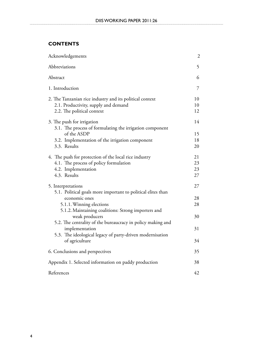# **Contents**

| Acknowledgements                                                                                                                                                                   | $\overline{c}$       |
|------------------------------------------------------------------------------------------------------------------------------------------------------------------------------------|----------------------|
| Abbreviations                                                                                                                                                                      | 5                    |
| Abstract                                                                                                                                                                           | 6                    |
| 1. Introduction                                                                                                                                                                    | 7                    |
| 2. The Tanzanian rice industry and its political context<br>2.1. Productivity, supply and demand<br>2.2. The political context                                                     | 10<br>10<br>12       |
| 3. The push for irrigation<br>3.1. The process of formulating the irrigation component                                                                                             | 14                   |
| of the ASDP<br>3.2. Implementation of the irrigation component<br>3.3. Results                                                                                                     | 15<br>18<br>20       |
| 4. The push for protection of the local rice industry<br>4.1. The process of policy formulation<br>4.2. Implementation<br>4.3. Results                                             | 21<br>23<br>23<br>27 |
| 5. Interpretations                                                                                                                                                                 | 27                   |
| 5.1. Political goals more important to political elites than<br>economic ones<br>5.1.1. Winning elections<br>5.1.2. Maintaining coalitions: Strong importers and<br>weak producers | 28<br>28<br>30       |
| 5.2. The centrality of the bureaucracy in policy making and<br>implementation<br>5.3. The ideological legacy of party-driven modernisation                                         | 31                   |
| of agriculture                                                                                                                                                                     | 34                   |
| 6. Conclusions and perspectives                                                                                                                                                    | 35                   |
| Appendix 1. Selected information on paddy production                                                                                                                               | 38                   |
| References                                                                                                                                                                         | 42                   |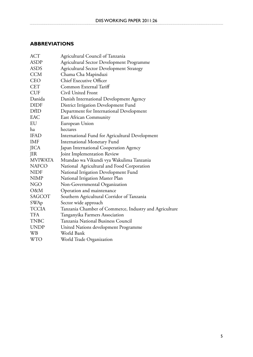# **Abbreviations**

| <b>ACT</b>     | Agricultural Council of Tanzania                       |
|----------------|--------------------------------------------------------|
| ASDP           | Agricultural Sector Development Programme              |
| <b>ASDS</b>    | <b>Agricultural Sector Development Strategy</b>        |
| <b>CCM</b>     | Chama Cha Mapinduzi                                    |
| <b>CEO</b>     | <b>Chief Executive Officer</b>                         |
| <b>CET</b>     | Common External Tariff                                 |
| <b>CUF</b>     | Civil United Front                                     |
| Danida         | Danish International Development Agency                |
| <b>DIDF</b>    | District Irrigation Development Fund                   |
| DfID           | Department for International Development               |
| EAC            | <b>East African Community</b>                          |
| EU             | European Union                                         |
| ha             | hectares                                               |
| <b>IFAD</b>    | International Fund for Agricultural Development        |
| IMF            | <b>International Monetary Fund</b>                     |
| <b>JICA</b>    | Japan International Cooperation Agency                 |
| <b>JIR</b>     | Joint Implementation Review                            |
| <b>MVIWATA</b> | Mtandao wa Vikundi vya Wakulima Tanzania               |
| <b>NAFCO</b>   | National Agricultural and Food Corporation             |
| <b>NIDF</b>    | National Irrigation Development Fund                   |
| <b>NIMP</b>    | National Irrigation Master Plan                        |
| <b>NGO</b>     | Non-Governmental Organization                          |
| O&M            | Operation and maintenance                              |
| SAGCOT         | Southern Agricultural Corridor of Tanzania             |
| SWAp           | Sector wide approach                                   |
| <b>TCCIA</b>   | Tanzania Chamber of Commerce, Industry and Agriculture |
| <b>TFA</b>     | Tanganyika Farmers Association                         |
| <b>TNBC</b>    | Tanzania National Business Council                     |
| <b>UNDP</b>    | United Nations development Programme                   |
| <b>WB</b>      | World Bank                                             |
| <b>WTO</b>     | World Trade Organization                               |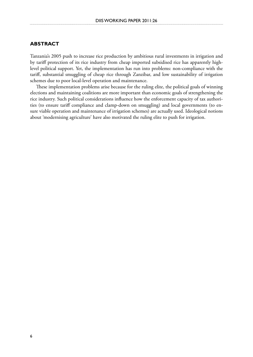# **Abstract**

Tanzania's 2005 push to increase rice production by ambitious rural investments in irrigation and by tariff protection of its rice industry from cheap imported subsidised rice has apparently highlevel political support. Yet, the implementation has run into problems: non-compliance with the tariff, substantial smuggling of cheap rice through Zanzibar, and low sustainability of irrigation schemes due to poor local-level operation and maintenance.

These implementation problems arise because for the ruling elite, the political goals of winning elections and maintaining coalitions are more important than economic goals of strengthening the rice industry. Such political considerations influence how the enforcement capacity of tax authorities (to ensure tariff compliance and clamp-down on smuggling) and local governments (to ensure viable operation and maintenance of irrigation schemes) are actually used. Ideological notions about 'modernising agriculture' have also motivated the ruling elite to push for irrigation.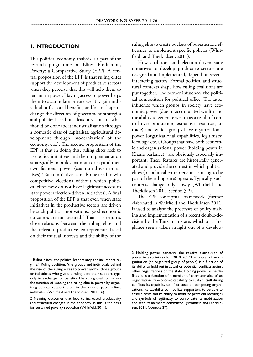### **1. Introduction**

This political economy analysis is a part of the research programme on Elites, Production, Poverty: a Comparative Study (EPP). A central proposition of the EPP is that ruling elites support the development of productive sectors when they perceive that this will help them to remain in power. Having access to power helps them to accumulate private wealth, gain individual or factional benefits, and/or to shape or change the direction of government strategies and policies based on ideas or visions of what should be done (be it industrialisation through a domestic class of capitalists, agricultural development through 'modernization' of the economy, etc.). The second proposition of the EPP is that in doing this, ruling elites seek to use policy initiatives and their implementation strategically to build, maintain or expand their own factional power (coalition-driven initiatives).<sup>1</sup> Such initiatives can also be used to win competitive elections without which political elites now do not have legitimate access to state power (election-driven initiatives). A final proposition of the EPP is that even when state initiatives in the productive sectors are driven by such political motivations, good economic outcomes are not secured.<sup>2</sup> That also requires close relations between the ruling elite and the relevant productive entrepreneurs based on their mutual interests and the ability of the

ruling elite to create pockets of bureaucratic efficiency to implement specific policies (Whitfield and Therkildsen, 2011).

How coalition- and election-driven state initiatives to develop productive sectors are designed and implemented, depend on several interacting factors. Formal political and structural contexts shape how ruling coalitions are put together. The former influences the political competition for political office. The latter influence which groups in society have economic power (due to accumulated wealth and the ability to generate wealth as a result of control over production, extractive resources, or trade) and which groups have organizational power (organizational capabilities, legitimacy, ideology, etc.). Groups that have both economic and organisational power (holding power in Khan's parlance)<sup>3</sup> are obviously especially important. These features are historically generated and provide the context in which political elites (or political entrepreneurs aspiring to be part of the ruling elite) operate. Typically, such contexts change only slowly (Whitfield and Therkildsen 2011, section 3.2).

The EPP conceptual framework (further elaborated in Whitfield and Therkildsen 2011) is used to analyse the processes of policy making and implementation of a recent double-decision by the Tanzanian state, which at a first glance seems taken straight out of a develop-

<sup>1</sup> Ruling elites: "the political leaders atop the incumbent regime." Ruling coalition: "the groups and individuals behind the rise of the ruling elites to power and/or those groups or individuals who give the ruling elite their support, typically in exchange for benefits. The ruling coalition serves the function of keeping the ruling elite in power by organizing political support, often in the form of patron-client networks" (Whitfield and Therkildsen, 2011, 16).

<sup>2</sup> Meaning outcomes that lead to increased productivity and structural changes in the economy, as this is the basis for sustained poverty reduction (Whitfield, 2011).

<sup>3</sup> Holding power concerns the relative distribution of power in a society (Khan, 2010, 20). "The power of an organization (an organized group of people) is a function of its ability to hold out in actual or potential conflicts against other organizations or the state. Holding power, as he defines it, is a function of a number of characteristics of an organization: its economic capability to sustain itself during conflicts, its capability to inflict costs on competing organizations, its capability to mobilize supporters to be able to absorb costs and its ability to mobilize prevalent ideologies and symbols of legitimacy to consolidate its mobilization and keep its members committed" (Whitfield and Therkildsen, 2011, footnote 27).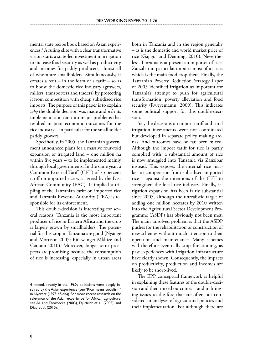mental state recipe book based on Asian experiences.4 A ruling elite with a clear transformative vision starts a state-led investment in irrigation to increase food security as well as productivity and incomes for paddy producers, almost all of whom are smallholders. Simultaneously, it creates a rent – in the form of a tariff – so as to boost the domestic rice industry (growers, millers, transporters and traders) by protecting it from competition with cheap subsidized rice imports. The purpose of this paper is to explain *why* the double-decision was made and *why* its implementation ran into major problems that resulted in poor economic outcomes for the rice industry – in particular for the smallholder paddy growers.

Specifically, in 2005, the Tanzanian government announced plans for a massive four-fold expansion of irrigated land – one million ha within five years – to be implemented mainly through local governments. In the same year, a Common External Tariff (CET) of 75 percent tariff on imported rice was agreed by the East African Community (EAC). It implied a tripling of the Tanzanian tariff on imported rice and Tanzania Revenue Authority (TRA) is responsible for its enforcement.

This double-decision is interesting for several reasons. Tanzania is the most important producer of rice in Eastern Africa and the crop is largely grown by smallholders. The potential for this crop in Tanzania are good (Nyange and Morrison 2005; Binswanger-Mkhize and Gautam 2010). Moreover, longer-term prospects are promising because the consumption of rice is increasing, especially in urban areas both in Tanzania and in the region generally – as is the domestic and world market price of rice (Gajigo and Denning, 2010). Nevertheless, Tanzania is at present an importer of rice. Zanzibar in particular imports most of its rice, which is the main food crop there. Finally, the Tanzanian Poverty Reduction Strategy Paper of 2005 identified irrigation as important for Tanzania's attempt to push for agricultural transformation, poverty alleviation and food security (Rweyemamu, 2009). This indicates some political support for this double-decision.

Yet, the decisions on import tariff and rural irrigation investments were not coordinated but developed in separate policy making arenas. And outcomes have, so far, been mixed. Although the import tariff for rice is partly complied with, a substantial amount of rice is now smuggled into Tanzania via Zanzibar instead. This exposes the internal rice market to competition from subsidised imported rice – against the intentions of the CET to strengthen the local rice industry. Finally, irrigation expansion has been fairly substantial since 2005, although the unrealistic target of adding one million hectares by 2010 written into the Agricultural Sector Development Programme (ASDP) has obviously not been met. The main unsolved problem is that the ASDP pushes for the rehabilitation or construction of new schemes without much attention to their operation and maintenance. Many schemes will therefore eventually stop functioning, as past experiences with irrigation infrastructure have clearly shown. Consequently, the impacts on productivity, production and incomes are likely to be short-lived.

The EPP conceptual framework is helpful in explaining these features of the double-decision and their mixed outcomes – and in bringing issues to the fore that are often not considered in analyses of agricultural policies and their implementation. For although there are

<sup>4</sup> Indeed, already in the 1960s politicians were deeply inspired by the Asian experience (see "Rice means socialism" in Nyerere (1973, 45-46)). For more recent research on the relevance of the Asian experience for African agriculture, see Ali and Thorbecke (2003), Djurfeldt et al. (2005), and Diao et al. (2010).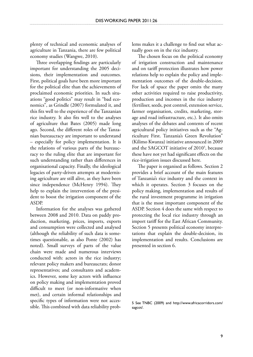plenty of technical and economic analyses of agriculture in Tanzania, there are few political economy studies (Wangwe, 2010).

Three overlapping findings are particularly important for understanding the 2005 decisions, their implementation and outcomes. First, political goals have been more important for the political elite than the achievements of proclaimed economic priorities. In such situations "good politics" may result in "bad economics", as Grindle (2007) formulated it, and this fits well to the experience of the Tanzanian rice industry. It also fits well to the analyses of agriculture that Bates (2005) made long ago. Second, the different roles of the Tanzanian bureaucracy are important to understand – especially for policy implementation. It is the relations of various parts of the bureaucracy to the ruling elite that are important for such understanding rather than differences in organisational capacity. Finally, the ideological legacies of party-driven attempts at modernising agriculture are still alive, as they have been since independence (McHenry 1994). They help to explain the intervention of the president to boost the irrigation component of the ASDP.

Information for the analyses was gathered between 2008 and 2010. Data on paddy production, marketing, prices, imports, exports and consumption were collected and analysed (although the reliability of such data is sometimes questionable, as also Ponte (2002) has noted). Small surveys of parts of the value chain were made and numerous interviews conducted with: actors in the rice industry; relevant policy makers and bureaucrats; donor representatives; and consultants and academics. However, some key actors with influence on policy making and implementation proved difficult to meet (or non-informative when met), and certain informal relationships and specific types of information were not accessible. This combined with data reliability problems makes it a challenge to find out what actually goes on in the rice industry.

The chosen focus on the political economy of irrigation construction and maintenance and on tariff protection illustrates how power relations help to explain the policy and implementation outcomes of the double-decision. For lack of space the paper omits the many other activities required to raise productivity, production and incomes in the rice industry (fertiliser, seeds, pest control, extension service, farmer organisation, credits, marketing, storage and road infrastructure, etc.). It also omits analyses of the debates and contents of recent agricultural policy initiatives such as the "Agriculture First. Tanzania's Green Revolution" (Kilimo Kwanza) initiative announced in 2009 and the SAGCOT initiative of  $2010^5$ , because these have not yet had significant effects on the rice-irrigation issues discussed here.

The paper is organised as follows. Section 2 provides a brief account of the main features of Tanzania's rice industry and the context in which it operates. Section 3 focuses on the policy making, implementation and results of the rural investment programme in irrigation that is the most important component of the ASDP. Section 4 does the same with respect to protecting the local rice industry through an import tariff for the East African Community. Section 5 presents political economy interpretations that explain the double-decision, its implementation and results. Conclusions are presented in section 6.

See TNBC (2009) and http://www.africacorridors.com/ sagcot/.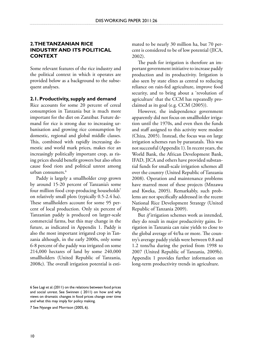# **2. TheTanzanian rice industry and its political context**

Some relevant features of the rice industry and the political context in which it operates are provided below as a background to the subsequent analyses.

### **2.1. Productivity, supply and demand**

Rice accounts for some 20 percent of cereal consumption in Tanzania but is much more important for the diet on Zanzibar. Future demand for rice is strong due to increasing urbanisation and growing rice consumption by domestic, regional and global middle classes. This, combined with rapidly increasing domestic and world mark prices, makes rice an increasingly politically important crop, as rising prices should benefit growers but also often cause food riots and political unrest among urban consumers.6

Paddy is largely a smallholder crop grown by around 15-20 percent of Tanzania's some four million food crop-producing households<sup>7</sup> on relatively small plots (typically 0.5-2.4 ha). These smallholders account for some 95 percent of local production. Only six percent of Tanzanian paddy is produced on larger-scale commercial farms, but this may change in the future, as indicated in Appendix 1. Paddy is also the most important irrigated crop in Tanzania although, in the early 2000s, only some 6-8 percent of the paddy was irrigated on some 214,000 hectares of land by some 240,000 smallholders (United Republic of Tanzania, 2008c). The overall irrigation potential is esti-

7 See Nyange and Morrison (2005, 6).

The push for irrigation is therefore an important government initiative to increase paddy production and its productivity. Irrigation is also seen by state elites as central to reducing reliance on rain-fed agriculture, improve food security, and to bring about a 'revolution of agriculture' that the CCM has repeatedly proclaimed as its goal (e.g. CCM (2005)).

However, the independence government apparently did not focus on smallholder irrigation until the 1970s, and even then the funds and staff assigned to this activity were modest (Chiza, 2005). Instead, the focus was on large irrigation schemes run by parastatals. This was not successful (Appendix 1). In recent years, the World Bank, the African Development Bank, IFAD, JICA and others have provided substantial funds for small-scale irrigation schemes all over the country (United Republic of Tanzania 2008). Operation and maintenance problems have marred most of these projects (Mnzawa and Kweka, 2005). Remarkably, such problems are not specifically addressed in the recent National Rice Development Strategy (United Republic of Tanzania 2009).

But *if* irrigation schemes work as intended, they do result in major productivity gains. Irrigation in Tanzania can raise yields to close to the global average of 4t/ha or more. The country's average paddy yields were between 0.8 and 1.2 tons/ha during the period from 1998 to 2007 (United Republic of Tanzania, 2009b). Appendix 1 provides further information on long-term productivity trends in agriculture.

<sup>6</sup> See Lagi et al. (2011) on the relations between food prices and social unrest. See Swinnen ( 2011) on how and why views on dramatic changes in food prices change over time and what this may imply for policy making.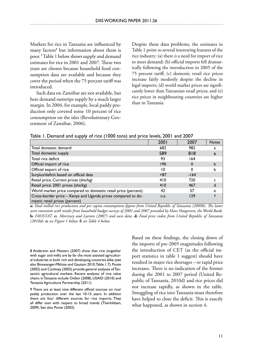Markets for rice in Tanzania are influenced by many factors<sup>8</sup> but information about them is poor. <sup>9</sup> Table 1 below shows supply and demand estimates for rice in 2001 and 2007. These two years are chosen because household food consumption data are available and because they cover the period when the 75 percent tariff was introduced.

Such data on Zanzibar are not available, but here demand outstrips supply by a much larger margin. In 2004, for example, local paddy production only covered some 10 percent of rice consumption on the isles (Revolutionary Government of Zanzibar, 2006).

Despite these data problems, the estimates in Table 1 point to several interesting features of the rice industry: (a) there *is* a need for import of rice to meet demand; (b) official imports fell dramatically following the introduction in 2005 of the 75 percent tariff; (c) domestic retail rice prices increase fairly modestly despite the decline in legal imports; (d) world market prices are significantly lower than Tanzanian retail prices; and (e) rice prices in neighbouring countries are higher than in Tanzania.

#### Table 1. Demand and supply of rice (1000 tons) and price levels, 2001 and 2007

|                                                                                                | 2001  | 2007     | <b>Notes</b> |
|------------------------------------------------------------------------------------------------|-------|----------|--------------|
| Total domestic demand                                                                          | 682   | 982      | a            |
| Total domestic supply                                                                          | 589   | 818      | a            |
| Total rice deficit                                                                             | 93    | 164      |              |
| Official import of rice                                                                        | 190   | $\Omega$ |              |
| Official export of rice                                                                        | 10    |          |              |
| Surplus/deficit based on official data                                                         | $+87$ | $-164$   |              |
| Retail price. Current prices (shs/kg)                                                          | 410   | 720      |              |
| Retail price. 2001 prices (shs/kg)                                                             | 410   | 467      |              |
| World market price compared to domestic retail price (percent)                                 | 42    | 57       | е            |
| Cross-border price - Kenya and Uganda prices compared to do-<br>mestic retail prices (percent) | n.a   | 129      |              |

**a:** *Total milled rice production and per capita consumptions figures from United Republic of Tanzania (2009b). The latter were consistent with results from household budget surveys of 2001 and 2007 provided by Hans Hoogeveen, the World Bank.*  **b:** *FAOSTAT.* **c:***. Morrissey and Lyeraro (2007) and own data.* **d:** *Food price index from United Republic of Tanzania (2010d).* **e:** *see Figure 1 below.* **f:** *see Table 4 below.*

 Anderson and Masters (2007) show that rice (together with sugar and milk) are by far the most assisted agricultural industries in both rich and developing countries alike (see also Binswanger-Mkhize and Gautam 2010, Table 1.7). Ponte (2002) and Cooksey (2003) provide general analyses of Tanzania's agricultural markets. Recent analyses of rice value chains in Tanzania include Oxfam (2008), USAID (2010) and Tanzania Agriculture Partnership (2011).

9 There are at least nine different official sources on rice/ paddy production over the last 10-15 years. In addition there are four different sources for rice imports. They all differ *even* with respect to broad trends (Therkildsen, 2009). See also Ponte (2002).

Based on these findings, the closing down of the imports of pre-2005 magnitudes following the introduction of CET (as the official import statistics in table 1 suggest) should have resulted in major rice shortages – or rapid price increases. There is no indication of the former during the 2001 to 2007 period (United Republic of Tanzania, 2010d) and rice prices did not increase rapidly, as shown in the table. Smuggling of rice into Tanzania must therefore have helped to close the deficit. This is exactly what happened, as shown in section 4.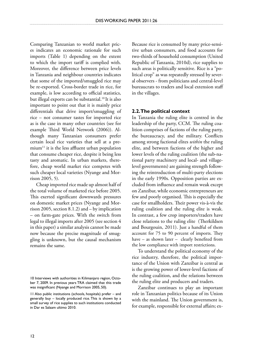Comparing Tanzanian to world market prices indicates an economic rationale for such imports (Table 1) depending on the extent to which the import tariff is complied with. Moreover, the difference between price levels in Tanzania and neighbour countries indicates that some of the imported/smuggled rice may be re-exported. Cross-border trade in rice, for example, is low according to official statistics, but illegal exports can be substantial.<sup>10</sup> It is also important to point out that it is mainly price differentials that drive import/smuggling of rice – not consumer tastes for imported rice as is the case in many other countries (see for example Third World Network (2006)). Although many Tanzanian consumers prefer certain local rice varieties that sell at a pre $mium<sup>11</sup>$  it is the less affluent urban population that consume cheaper rice, despite it being less tasty and aromatic. In urban markets, therefore, cheap world market rice competes with such cheaper local varieties (Nyange and Morrison 2005, 5).

Cheap imported rice made up almost half of the total volume of marketed rice before 2005. This exerted significant downwards pressures on domestic market prices (Nyange and Morrison 2005, section 8.1.2) and – by implication – on farm-gate prices. With the switch from legal to illegal imports after 2005 (see section 4 in this paper) a similar analysis cannot be made now because the precise magnitude of smuggling is unknown, but the causal mechanism remains the same.

Because rice is consumed by many price-sensitive urban consumers, and food accounts for two-thirds of household consumption (United Republic of Tanzania, 2010d), rice supplies to such areas is politically sensitive. Rice is a "political crop" as was repeatedly stressed by several observers - from politicians and central-level bureaucrats to traders and local extension staff in the villages.

### **2.2. The political context**

In Tanzania the ruling elite is centred in the leadership of the party, CCM. The ruling coalition comprises of factions of the ruling party, the bureaucracy, and the military. Conflicts among strong factional elites *within* the ruling elite, and between factions of the higher and lower levels of the ruling coalition (the sub-national party machinery and local- and villagelevel governments) are gaining strength following the reintroduction of multi-party elections in the early 1990s. Opposition parties are excluded from influence and remain weak except on Zanzibar, while economic entrepreneurs are few and poorly organised. This is especially the case for smallholders. Their power vis-à-vis the ruling coalition and the ruling elite is weak. In contrast, a few crop importers/traders have close relations to the ruling elite (Therkildsen and Bourgouin, 2011). Just a handful of them account for 75 to 90 percent of imports. They have – as shown later – clearly benefited from the low compliance with import restrictions.

To understand the political economy of the rice industry, therefore, the political importance of the Union with Zanzibar is central as is the growing power of lower-level factions of the ruling coalition, and the relations between the ruling elite and producers and traders.

Zanzibar continues to play an important role in Tanzanian politics because of its Union with the mainland. The Union government is, for example, responsible for external affairs; ex-

<sup>10</sup> Interviews with authorities in Kilimanjaro region, October 7, 2009. In previous years TRA claimed that this trade was insignificant (Nyange and Morrison 2005, 50).

<sup>11</sup> Also public institutions (schools, hospitals) prefer – and generally buy – locally produced rice. This is shown by a small survey of rice supplies to such institutions conducted in Dar es Salaam ultimo 2010.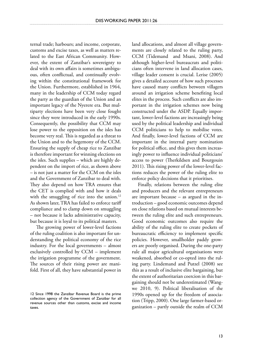ternal trade; harbours; and income, corporate, customs and excise taxes, as well as matters related to the East African Community. However, the extent of Zanzibar's sovereignty to deal with its own affairs is sometimes ambiguous, often conflictual, and continually evolving within the constitutional framework for the Union. Furthermore, established in 1964, many in the leadership of CCM today regard the party as the guardian of the Union and an important legacy of the Nyerere era. But multiparty elections have been very close fought since they were introduced in the early 1990s. Consequently, the possibility that CCM may lose power to the opposition on the isles has become very real. This is regarded as a threat to the Union and to the hegemony of the CCM. Ensuring the supply of cheap rice to Zanzibar is therefore important for winning elections on the isles. Such supplies – which are highly dependent on the import of rice, as shown above – is not just a matter for the CCM on the isles and the Government of Zanzibar to deal with. They also depend on how TRA ensures that the CET is complied with and how it deals with the smuggling of rice into the union.<sup>12</sup> As shown later, TRA has failed to enforce tariff compliance and to clamp down on smuggling – not because it lacks administrative capacity, but because it is loyal to its political masters.

The growing power of lower-level factions of the ruling coalition is also important for understanding the political economy of the rice industry. For the local governments – almost exclusively controlled by CCM – implement the irrigation programme of the government. The sources of their rising power are manifold. First of all, they have substantial power in land allocations, and almost all village governments are closely related to the ruling party, CCM (Tidemand and Msani, 2008). And although higher-level bureaucrats and politicians often intervene in land allocation cases, village leader consent is crucial. Lerise (2005) gives a detailed account of how such processes have caused many conflicts between villagers around an irrigation scheme benefiting local elites in the process. Such conflicts are also important in the irrigation schemes now being constructed under the ASDP. Equally important, lower-level factions are increasingly being used by the political leadership and individual CCM politicians to help to mobilise votes. And finally, lower-level factions of CCM are important in the internal party nomination for political office, and this gives them increasingly power to influence individual politicians' access to power (Therkildsen and Bourgouin 2011). This rising power of the lower-level factions reduces the power of the ruling elite to enforce policy decisions that it prioritises.

Finally, relations between the ruling elite and producers and the relevant entrepreneurs are important because – as argued in the introduction – good economic outcomes depend on close relations based on mutual interests between the ruling elite and such entrepreneurs. Good economic outcomes also require the ability of the ruling elite to create pockets of bureaucratic efficiency to implement specific policies. However, smallholder paddy growers are poorly organised. During the one-party rule all major agricultural organisations were weakened, absorbed or co-opted into the ruling party. Lindemand and Putzel (2008) see this as a result of inclusive elite bargaining, but the extent of authoritarian coercion in this bargaining should not be underestimated (Wangwe 2010, 9). Political liberalisation of the 1990s opened up for the freedom of association (Tripp, 2000). One large farmer-based organization – partly outside the realm of CCM

<sup>12</sup> Since 1998 the Zanzibar Revenue Board is the prime collection agency of the Government of Zanzibar for all revenue sources other than customs, excise and income taxes.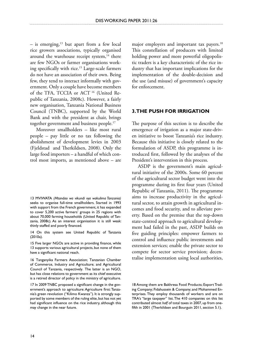– is emerging, $13$  but apart from a few local rice growers associations, typically organised around the warehouse receipt system, $14$  there are few NGOs or farmer organisations working specifically with rice.15 Large-scale farmers do not have an association of their own. Being few, they tend to interact informally with government. Only a couple have become members of the TFA, TCCIA or ACT 16 (United Republic of Tanzania, 2008c). However, a fairly new organisation, Tanzania National Business Council (TNBC), supported by the World Bank and with the president as chair, brings together government and business people.<sup>17</sup>

Moreover smallholders – like most rural people – pay little or no tax following the abolishment of development levies in 2003 (Fjeldstad and Therkildsen, 2008). Only the large food importers – a handful of which control most imports, as mentioned above – are

13 MVIWATA *(Mtandao wa vikundi vya wakulima Tanzania)* seeks to organise full-time smallholders. Started in 1993 with support from the French government, it has expanded to cover 5,200 active farmers' groups in 25 regions with about 70,000 farming households (United Republic of Tanzania, 2008c). As an interest organisation it is still weak: thinly staffed and poorly financed.

14 On this system see United Republic of Tanzania (2010a).

15 Five larger NGOs are active in providing finance, while 13 supports various agricultural projects, but none of them have a significant national reach.

16 Tanganyika Farmers Association; Tanzanian Chamber of Commerce, Industry and Agriculture; and Agricultural Council of Tanzania, respectively. The latter is an NGO, but has close relations to government as its chief executive is a retired director of policy in the ministry of agriculture.

17 In 2009 TNBC proposed a significant change in the government's approach to agriculture: Agriculture first: Tanzania's green revolution ("Kilimo Kwanza"). It is strongly supported by some members of the ruling elite, but has not yet had significant influence on the rice industry, although this may change in the near future.

major employers and important tax payers.<sup>18</sup> This constellation of producers with limited holding power and more powerful oligopolistic traders is a key characteristic of the rice industry that has important implications for the implementation of the double-decision and the use (and misuse) of government's capacity for enforcement.

# **3. The push for irrigation**

The purpose of this section is to describe the emergence of irrigation as a major state-driven initiative to boost Tanzania's rice industry. Because this initiative is closely related to the formulation of ASDP, this programme is introduced first, followed by the analyses of the President's intervention in this process.

ASDP is the government's main agricultural initiative of the 2000s. Some 60 percent of the agricultural sector budget went into the programme during its first four years (United Republic of Tanzania, 2011). The programme aims to increase productivity in the agricultural sector, to attain growth in agricultural incomes and food security, and to alleviate poverty. Based on the premise that the top-down state-centred approach to agricultural development had failed in the past, ASDP builds on five guiding principles: empower farmers to control and influence public investments and extension services; enable the private sector to compete for sector service provision; decentralise implementation using local authorities,

<sup>18</sup> Among them are Bakhresa Food Products; Export Trading Company; Fidahussein & Company; and Mohammed Enterprises. They employ thousands of workers and are on TRA's "large taxpayer" list. The 410 companies on this list contributed almost *half* of total taxes in 2007, up from onefifth in 2001 (Therkildsen and Bourguin 2011, section 5.1).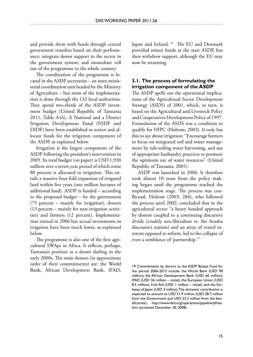and provide them with funds through central government transfers based on their performance; integrate donor support to the sector in the government system; and immediate roll out of the programme to the whole country.

The coordination of the programme is located in the ASDP secretariat – an inter-ministerial coordination unit headed by the Ministry of Agriculture – but most of the implementation is done through the 132 local authorities. They spend two-thirds of the ASDP investment budget (United Republic of Tanzania 2011, Table A16). A National and a District Irrigation Development Fund (NIDF and DIDF) have been established to screen and allocate funds for the irrigation component of the ASDP, as explained below.

Irrigation is the largest component of the ASDP following the president's intervention in 2005. Its total budget (on paper) is USD 1,930 million over a seven-year period of which some 80 percent is allocated to irrigation. This entails a massive four-fold expansion of irrigated land within five years (one million hectares of additional land). ASDP is funded – according to the proposed budget – by the government (75 percent – mainly for irrigation), donors (13 percent – mainly for non-irrigation activities) and farmers (12 percent). Implementation started in 2006 but actual investments in irrigation have been much lower, as explained below.

The programme is also one of the first agricultural SWAps in Africa. It reflects, perhaps, Tanzania's position as a donor darling in the early 2000s. The main donors (in approximate order of their commitments) are: the World Bank, African Development Bank, IFAD, Japan and Ireland. <sup>19</sup> The EU and Denmark provided minor funds at the start ASDP, but then withdrew support, although the EU may now be returning.

# **3.1. The process of formulating the irrigation component of the ASDP**

The ASDP spells out the operational implications of the Agricultural Sector Development Strategy (ASDS) of 2001, which, in turn, is based on the Agricultural and Livestock Policy and Cooperatives Development Policy of 1997. Formulation of the ASDS was a condition to qualify for HIPC (Holtom, 2003). It only has this to say about irrigation: "Encourage farmers to focus on integrated soil and water management by sub-soiling water harvesting, and use of appropriate husbandry practices to promote the optimum use of water resources" (United Republic of Tanzania, 2001).

ASDP was launched in 2006. It therefore took almost 10 years from the policy making began until the programme reached the implementation stage. The process was conflictual. Holtom (2003, 284), who followed the process until 2002, concluded that in the agricultural sector "a heavy handed approach by donors coupled to a continuing discursive divide (crudely neo-liberalism vs. the Arusha discourse's statism) and an array of vested interests opposed to reform, led to the collapse of even a semblance of 'partnership.'"

<sup>19</sup> Commitments by donors to the ASDP Basket Fund for the period 2006-2013 include: the World Bank (USD 90 million), the African Development Bank (USD 60 million), IFAD (USD 36 million – initial), the European Union (USD 8.5 million), Irish Aid (USD 1 million – initial), and the Embassy of Japan (USD 3 million). The domestic contribution is expected to amount to USD 51.9 million (USD 28.7 million from the Government and USD 23.2 million from the beneficiaries). http://www.ifad.org/operations/pipeline/pf/tan. htm (accessed December 30, 2008).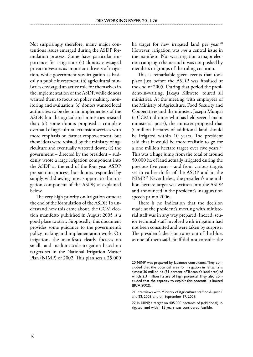Not surprisingly therefore, many major contentious issues emerged during the ASDP formulation process. Some have particular importance for irrigation: (a) donors envisaged private investors as important drivers of irrigation, while government saw irrigation as basically a public investment; (b) agricultural ministries envisaged an active role for themselves in the implementation of the ASDP, while donors wanted them to focus on policy making, monitoring and evaluation; (c) donors wanted local authorities to be the main implementers of the ASDP, but the agricultural ministries resisted that; (d) some donors proposed a complete overhaul of agricultural extension services with more emphasis on farmer empowerment, but these ideas were resisted by the ministry of agriculture and eventually watered down; (e) the government – directed by the president – suddenly wrote a large irrigation component into the ASDP at the end of the four year ASDP preparation process, but donors responded by simply withdrawing most support to the irrigation component of the ASDP, as explained below.

The very high priority on irrigation came at the end of the formulation of the ASDP. To understand how this came about, the CCM election manifesto published in August 2005 is a good place to start. Supposedly, this document provides some guidance to the government's policy making and implementation work. On irrigation, the manifesto clearly focuses on small- and medium-scale irrigation based on targets set in the National Irrigation Master Plan (NIMP) of 2002. This plan sets a 25,000 ha target for new irrigated land per year.<sup>20</sup> However, irrigation was *not* a central issue in the manifesto. Nor was irrigation a major election campaign theme and it was not pushed by members or groups of the ruling coalition.

This is remarkable given events that took place just before the ASDP was finalised at the end of 2005. During that period the president-in-waiting, Jakaya Kikwete, toured all ministries. At the meeting with employees of the Ministry of Agriculture, Food Security and Cooperatives and the minister, Joseph Mungai (a CCM old timer who has held several major ministerial posts), the minister proposed that 5 million hectares of additional land should be irrigated within 10 years. The president said that it would be more realistic to go for a one million hectare target over five years.<sup>21</sup> This was a huge jump from the total of around 50,000 ha of land actually irrigated during the previous five years – and from various targets set in earlier drafts of the ASDP and in the NIMP.22 Nevertheless, the president's one-million-hectare target was written into the ASDP and announced in the president's inauguration speech primo 2006.

There is no indication that the decision made at the president's meeting with ministerial staff was in any way prepared. Indeed, senior technical staff involved with irrigation had not been consulted and were taken by surprise. The president's decision came out of the blue, as one of them said. Staff did not consider the

<sup>20</sup> NIMP was prepared by Japanese consultants. They concluded that the potential area for irrigation in Tanzania is almost 30 million ha (31 percent of Tanzania's land area) of which 2.3 million ha are of high potential. They also concluded that the capacity to exploit this potential is limited (JICA 2002).

<sup>21</sup> Interviews with Ministry of Agriculture staff on August 1 and 22, 2008, and on September 17, 2009.

<sup>22</sup> In NIMP, a target on 405,000 hectares of (additional) irrigated land within 15 years was considered feasible.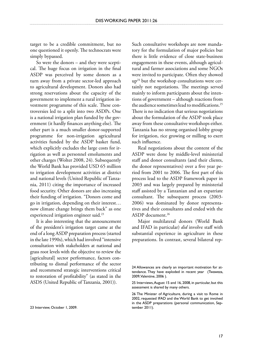target to be a credible commitment, but no one questioned it openly. The technocrats were simply bypassed.

So were the donors – and they were sceptical. The huge focus on irrigation in the final ASDP was perceived by some donors as a turn away from a private sector-led approach to agricultural development. Donors also had strong reservations about the capacity of the government to implement a rural irrigation investment programme of this scale. These controversies led to a split into two ASDPs. One is a national irrigation plan funded by the government (it hardly finances anything else). The other part is a much smaller donor-supported programme for non-irrigation agricultural activities funded by the ASDP basket fund, which explicitly excludes the large costs for irrigation as well as personnel emoluments and other charges (Wolter 2008, 24). Subsequently the World Bank has provided USD 65 million to irrigation development activities at district and national levels (United Republic of Tanzania, 2011) citing the importance of increased food security. Other donors are also increasing their funding of irrigation. "Donors come and go in irrigation, depending on their interest… now climate change brings them back" as one experienced irrigation engineer said.<sup>23</sup>

It is also interesting that the announcement of the president's irrigation target came at the end of a long ASDP preparation process (started in the late 1990s), which had involved "intensive consultation with stakeholders at national and grass root levels with the objective to review the [agricultural] sector performance, factors contributing to dismal performance of the sector and recommend strategic interventions critical to restoration of profitability" (as stated in the ASDS (United Republic of Tanzania, 2001)).

Such consultative workshops are now mandatory for the formulation of major policies but there is little evidence of close state-business engagements in these events, although agricultural and farmer associations and some NGOs were invited to participate. Often they showed up24 but the workshop consultations were certainly not negotiations. The meetings served mainly to inform participants about the intentions of government – although reactions from the audience sometimes lead to modifications.25 There is no indication that serious negotiations about the formulation of the ASDP took place away from these consultative workshops either. Tanzania has no strong organised lobby group for irrigation, rice growing or milling to exert such influence.

Real negotiations about the content of the ASDP were done by middle-level ministerial staff and donor consultants (and their clients, the donor representatives) over a five year period from 2001 to 2006. The first part of this process lead to the ASDP framework paper in 2003 and was largely prepared by ministerial staff assisted by a Tanzanian and an expatriate consultant. The subsequent process (2003- 2006) was dominated by donor representatives and their consultants and ended with the ASDP document.26

Major multilateral donors (World Bank and IFAD in particular) *did* involve staff with substantial experience in agriculture in these preparations. In contrast, several bilateral rep-

<sup>23</sup> Interview, October 1, 2009.

<sup>24</sup> Allowances are clearly an important motivation for attendance. They have exploded in recent year (Twaweza, 2009, Valentine, 2006 ).

<sup>25</sup> Interviews, August 15 and 16, 2008, in particular, but this assessment is shared by many others.

<sup>26</sup> The Minister of Agriculture, during a visit to Rome in 2002, requested IFAD and the World Bank to get involved in the ASDP preparations (personal communication, September 2011).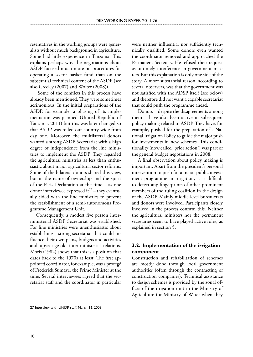resentatives in the working groups were generalists without much background in agriculture. Some had little experience in Tanzania. This explains perhaps why the negotiations about ASDP focused much more on procedures for operating a sector basket fund than on the substantial technical content of the ASDP (see also Greeley (2007) and Wolter (2008)).

 Some of the conflicts in this process have already been mentioned. They were sometimes acrimonious. In the initial preparations of the ASDP, for example, a phasing of its implementation was planned (United Republic of Tanzania, 2011) but this was later changed so that ASDP was rolled out country-wide from day one. Moreover, the multilateral donors wanted a strong ASDP Secretariat with a high degree of independence from the line ministries to implement the ASDP. They regarded the agricultural ministries as less than enthusiastic about major agricultural sector reforms. Some of the bilateral donors shared this view, but in the name of ownership and the spirit of the Paris Declaration at the time – as one donor interviewee expressed it $2^7$  – they eventually sided with the line ministries to prevent the establishment of a semi-autonomous Programme Management Unit.

Consequently, a modest five person interministerial ASDP Secretariat was established. For line ministries were unenthusiastic about establishing a strong secretariat that could influence their own plans, budgets and activities and upset age-old inter-ministerial relations. Moris (1982) shows that this is a position that dates back to the 1970s at least. The first appointed coordinator, for example, was a protégé of Frederick Sumaye, the Prime Minister at the time. Several interviewees agreed that the secretariat staff and the coordinator in particular were neither influential nor sufficiently technically qualified. Some donors even wanted the coordinator removed and approached the Permanent Secretary. He refused their request as untimely interference in government matters.But this explanation is only one side of the story. A more substantial reason, according to several observers, was that the government was not satisfied with the ADSP itself (see below) and therefore did not want a capable secretariat that could push the programme ahead.

Donors – despite the disagreements among them – have also been active in subsequent policy making related to ASDP. They have, for example, pushed for the preparation of a National Irrigation Policy to guide the major push for investments in new schemes. This conditionality (now called "prior action") was part of the general budget negotiations in 2008.

A final observation about policy making is important. Apart from the president's personal intervention to push for a major public investment programme in irrigation, it is difficult to detect any fingerprints of other prominent members of the ruling coalition in the design of the ASDP. Mainly middle-level bureaucrats and donors were involved. Participants closely involved in the process confirm this. Neither the agricultural ministers nor the permanent secretaries seem to have played active roles, as explained in section 5.

# **3.2. Implementation of the irrigation component**

Construction and rehabilitation of schemes are mostly done through local government authorities (often through the contracting of construction companies). Technical assistance to design schemes is provided by the zonal offices of the irrigation unit in the Ministry of Agriculture (or Ministry of Water when they

<sup>27</sup> Interview with UNDP staff, March 16, 2009.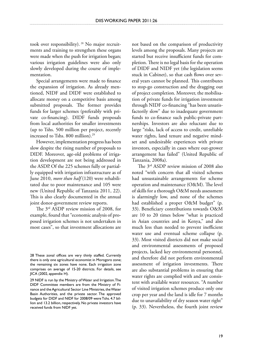took over responsibility). 28 No major recruitments and training to strengthen these organs were made when the push for irrigation began; various irrigation guidelines were also only slowly developed during the course of implementation.

Special arrangements were made to finance the expansion of irrigation. As already mentioned, NIDF and DIDF were established to allocate money on a competitive basis among submitted proposals. The former provides funds for larger schemes (preferably with private co-financing). DIDF funds proposals from local authorities for smaller investments (up to Tshs. 500 million per project, recently increased to Tshs. 800 million).<sup>29</sup>

However, implementation progress has been slow despite the rising number of proposals to DIDF. Moreover, age-old problems of irrigation development are not being addressed in the ASDP.Of the 225 schemes fully or partially equipped with irrigation infrastructure as of June 2010, *more than half* (120) were rehabilitated due to poor maintenance and 105 were new (United Republic of Tanzania 2011, 22). This is also clearly documented in the annual joint donor-government review reports.

The 3rd ASDP review mission of 2008, for example, found that "economic analysis of proposed irrigation schemes is not undertaken in most cases", so that investment allocations are not based on the comparison of productivity levels among the proposals. Many projects are started but receive insufficient funds for completion. There is no legal basis for the operation of DIDF and NIDF yet (the legislation seems stuck in Cabinet), so that cash flows over several years cannot be planned. This contributes to stop-go construction and the dragging out of project completion. Moreover, the mobilisation of private funds for irrigation investment through NIDF co-financing "has been unsatisfactorily slow" due to inadequate government funds to co-finance such public-private partnerships. Investors are also reluctant due to large "risks, lack of access to credit, unreliable water rights, land tenure and negative mindset and undesirable experiences with private investors, especially in cases where out-grower arrangement has failed" (United Republic of Tanzania, 2008a).

The 3rd ASDP review mission of 2008 also noted "with concern that all visited schemes had unsustainable arrangements for scheme operation and maintenance (O&M). The level of skills for a thorough O&M needs assessment is alarmingly low, and none of the schemes had established a proper O&M budget" (p. 33). Beneficiary contributions towards O&M are 10 to 20 times below "what is practiced in Asian countries and in Kenya," and also much less than needed to prevent inefficient water use and eventual scheme collapse (p. 33). Most visited districts did not make social and environmental assessments of proposed projects, lacked key environmental personnel, and therefore did not perform environmental assessment of irrigation investments. There are also substantial problems in ensuring that water rights are complied with and are consistent with available water resources. "A number of visited irrigation schemes produce only one crop per year and the land is idle for 7 months due to unavailability of dry season water right" (p. 33). Nevertheless, the fourth joint review

<sup>28</sup> These zonal offices are very thinly staffed. Currently there is only one agricultural economist in Morogoro zone; the remaining six zones have none. Each irrigation zone comprises on average of 15-20 districts. For details, see JICA (2002, appendix H).

<sup>29</sup> NIDF is run by the Ministry of Water and Irrigation. The DIDF Committee members are from the Ministry of Finance and the Agricultural Sector Line Ministries, the Water Basin Authorities, and the private sector. The approved budgets for DIDF and NIDF for 2008/09 were Tshs. 4.7 billion and 13.2 billion, respectively. No private investors have received funds from NIDF yet.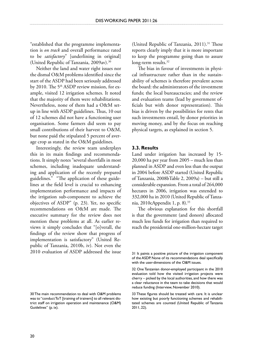"established that the programme implementation is *on track* and overall performance rated to be *satisfactory*" [underlining in original] (United Republic of Tanzania, 2009av).<sup>30</sup>

Neither the land and water right issues nor the dismal O&M problems identified since the start of the ASDP had been seriously addressed by 2010. The  $5<sup>th</sup>$  ASDP review mission, for example, visited 12 irrigation schemes. It noted that the majority of them were rehabilitations. Nevertheless, none of them had a O&M setup in line with ASDP guidelines. Thus, 10 out of 12 schemes did not have a functioning user organisation. Some farmers did seem to pay small contributions of their harvest to O&M, but none paid the stipulated 5 percent of average crop as stated in the O&M guidelines.

Interestingly, the review team underplays this in its main findings and recommendations. It simply notes "several shortfalls in most schemes, including inadequate understanding and application of the recently prepared guidelines." "The application of these guidelines at the field level is crucial to enhancing implementation performance and impacts of the irrigation sub-component to achieve the objectives of ASDP" (p. 23). Yet, no specific recommendations on O&M are made. The executive summary for the review does not mention these problems at all. As earlier reviews it simply concludes that "[o]verall, the findings of the review show that progress of implementation is satisfactory" (United Republic of Tanzania, 2010b, iv). Not even the 2010 evaluation of ASDP addressed the issue

(United Republic of Tanzania, 2011).<sup>31</sup> These reports clearly imply that it is more important to keep the programme going than to assure long-term results.<sup>32</sup>

The bias in favour of investments in physical infrastructure rather than in the sustainability of schemes is therefore prevalent across the board: the administrators of the investment funds; the local bureaucracies; and the review and evaluation teams (lead by government officials but with donor representation). This bias is driven by the possibilities for rents that such investments entail, by donor priorities in moving money, and by the focus on reaching physical targets, as explained in section 5.

# **3.3. Results**

Land under irrigation has increased by 15- 20,000 ha per year from 2005 – much less than planned in ASDP and even less than the output in 2004 before ASDP started (United Republic of Tanzania, 2008bTable 2, 2009a) – but still a considerable expansion. From a total of 264,000 hectares in 2006, irrigation was extended to 332,000 ha in 2010 (United Republic of Tanzania, 2010cAppendix 1, p. 8).33

The obvious explanation for this shortfall is that the government (and donors) allocated much less funds for irrigation than required to reach the presidential one-million-hectare target

<sup>30</sup> The main recommendation to deal with O&M problems was to "conduct ToT [training of trainers] to all relevant district staff on irrigation operation and maintenance (O&M) Guidelines" (p. ix).

<sup>31</sup> It paints a positive picture of the irrigation component of the ASDP. None of its recommendations deal specifically with the user-dimensions of the O&M issues.

<sup>32</sup> One Tanzanian donor-employed participant in the 2010 evaluation told how the visited irrigation projects were cherry – picked by the local authorities, and how there was a clear reluctance in the team to take decisions that would reduce funding (Interview, November 2010).

<sup>33</sup> These figures should be treated with care. It is unclear how existing but poorly functioning schemes and rehabilitated schemes are counted (United Republic of Tanzania 2011, 22).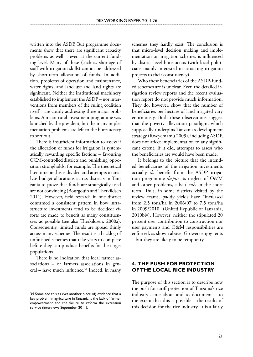written into the ASDP. But programme documents show that there are significant capacity problems as well – even at the current funding level. Many of these (such as shortage of staff with irrigation skills) cannot be addressed by short-term allocation of funds. In addition, problems of operation and maintenance, water rights, and land use and land rights are significant. Neither the institutional machinery established to implement the ASDP – nor interventions from members of the ruling coalition itself – are clearly addressing these major problems. A major rural investment programme was launched by the president, but the many implementation problems are left to the bureaucracy to sort out.

There is insufficient information to assess if the allocation of funds for irrigation is systematically rewarding specific factions – favouring CCM-controlled districts and 'punishing' opposition strongholds, for example. The theoretical literature on this is divided and attempts to analyse budget allocations across districts in Tanzania to prove that funds are strategically used are not convincing (Bourgouin and Therkildsen 2011). However, field research in one district confirmed a consistent pattern in how infrastructure investments tend to be decided: efforts are made to benefit as many constituencies as possible (see also Therkildsen, 2000a). Consequently, limited funds are spread thinly across many schemes. The result is a backlog of unfinished schemes that take years to complete before they can produce benefits for the target populations.

There is no indication that local farmer associations – or farmers associations in general – have much influence. $34$  Indeed, in many schemes they hardly exist. The conclusion is that micro-level decision making and implementation on irrigation schemes is influenced by district-level bureaucrats (with local politicians mainly interested in attracting irrigation projects to their constituency).

Who these beneficiaries of the ASDP-funded schemes are is unclear. Even the detailed irrigation review reports and the recent evaluation report do not provide much information. They do, however, show that the number of beneficiaries per hectare of land irrigated vary enormously. Both these observations suggest that the poverty alleviation paradigm, which supposedly underpins Tanzania's development strategy (Rweyemamu 2009), including ASDP, does not affect implementation to any significant extent. If it did, attempts to assess who the beneficiaries are would have been made.

It belongs to the picture that the intended beneficiaries of the irrigation investments actually *do* benefit from the ASDP irrigation programme *despite* its neglect of O&M and other problems, albeit *only* in the short term. Thus, in some districts visited by the review teams, paddy yields have "increased from 2.5 tons/ha in 2006/07 to 7.5 tons/ha in 2009/2010" (United Republic of Tanzania, 2010biv). However, neither the stipulated 20 percent user contribution to construction nor user payments and O&M responsibilities are enforced, as shown above. Growers enjoy rents – but they are likely to be temporary.

# **4. The push for protection of the local rice industry**

The purpose of this section is to describe how the push for tariff protection of Tanzania's rice industry came about and to document – to the extent that this is possible – the results of this decision for the rice industry. It is a fairly

<sup>34</sup> Some see this as (yet another piece of) evidence that a key problem in agriculture in Tanzania is the lack of farmer empowerment and the failure to reform the extension service (interviews September 2011).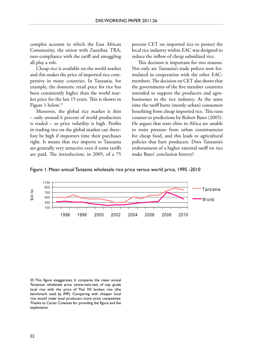complex account in which the East African Community, the union with Zanzibar, TRA, non-compliance with the tariff and smuggling all play a role.

Cheap rice is available on the world market and this makes the price of imported rice competitive in many countries. In Tanzania, for example, the domestic retail price for rice has been consistently higher than the world market price for the last 15 years. This is shown in Figure 1 below.35

Moreover, the global rice market is thin – only around 6 percent of world production is traded – so price volatility is high. Profits in trading rice on the global market can therefore be high if importers time their purchases right. It means that rice imports to Tanzania are generally very attractive even if some tariffs are paid. The introduction, in 2005, of a 75

percent CET on imported rice to protect the local rice industry within EAC was designed to reduce the inflow of cheap subsidized rice.

This decision is important for two reasons. Not only are Tanzania's trade polices now formulated in cooperation with the other EACmembers. The decision on CET also shows that the governments of the five member countries intended to support the producers and agrobusinesses in the rice industry. At the same time the tariff hurts (mostly urban) consumers benefiting from cheap imported rice. This runs counter to predictions by Robert Bates (2005). He argues that state elites in Africa are unable to resist pressure from urban constituencies for cheap food, and this leads to agricultural policies that hurt producers. Does Tanzania's endorsement of a higher external tariff on rice make Bates' conclusion history?





35 This figure exaggerates. It compares the mean annual Tanzanian wholesale price (www.ratin.net) of top grade local rice with the price of Thai 5% broken rice (the benchmark used by IMF). Comparing with cheaper local rice would make local producers more price competitive. Thanks to Carter Coleman for providing the figure and the explanation.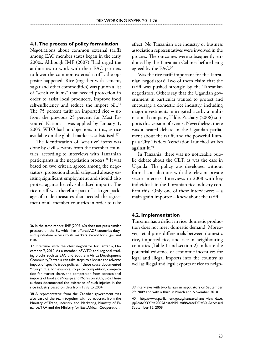### **4.1. The process of policy formulation**

Negotiations about common external tariffs among EAC member states began in the early 2000s. Although IMF (2007) "had urged the authorities to work with their EAC partners to lower the common external tariff", the opposite happened. Rice (together with cement, sugar and other commodities) was put on a list of "sensitive items" that needed protection in order to assist local producers, improve food self-sufficiency and reduce the import bill.<sup>36</sup> The 75 percent tariff on imported rice – up from the previous 25 percent for Most Favoured Nations – was applied by January 1, 2005. WTO had no objections to this, as rice available on the global market is subsidised.37

The identification of 'sensitive' items was done by civil servants from the member countries, according to interviews with Tanzanian participants in the negotiation process.38 It was based on two criteria agreed among the negotiators: protection should safeguard already existing significant employment and should also protect against heavily subsidised imports. The rice tariff was therefore part of a larger package of trade measures that needed the agreement of all member countries in order to take

38 A representative from the Zanzibar government was also part of the team together with bureaucrats from the Ministry of Trade, Industry and Marketing, Ministry of Finance, TRA and the Ministry for East African Cooperation.

effect. No Tanzanian rice industry or business association representatives were involved in the process. The outcomes were subsequently endorsed by the Tanzanian Cabinet before being agreed by the EAC.<sup>39</sup>

Was the rice tariff important for the Tanzanian negotiators? Two of them claim that the tariff was pushed strongly by the Tanzanian negotiators. Others say that the Ugandan government in particular wanted to protect and encourage a domestic rice industry, including major investments in irrigated rice by a multinational company, Tilde. Zachary (2008) supports this version of events. Nevertheless, there was a heated debate in the Ugandan parliament about the tariff, and the powerful Kampala City Traders Association launched strikes against it.<sup>40</sup>

In Tanzania, there was no noticeable public debate about the CET, as was the case in Uganda. The policy was developed without formal consultations with the relevant private sector interests. Interviews in 2008 with key individuals in the Tanzanian rice industry confirm this. Only one of these interviewees  $-$  a main grain importer – knew about the tariff.

### **4.2. Implementation**

Tanzania has a deficit in rice: domestic production does not meet domestic demand. Moreover, retail price differentials between domestic rice, imported rice, and rice in neighbouring countries (Table 1 and section 2) indicate the potential existence of economic incentives for legal and illegal imports into the country as well as illegal and legal exports of rice to neigh-

<sup>36</sup> In the same report, IMF (2007, 60) does not put a similar pressure on the EU which has offered ACP countries dutyand quota-free access to its markets except for sugar and rice.

<sup>37</sup> Interview with the chief negotiator for Tanzania, December 7, 2010. As a member of WTO and regional trading blocks such as EAC and Southern Africa Development Community, Tanzania can take steps to alleviate the adverse impact of specific trade policies if these cause documented "injury" due, for example, to price competition, competition for market share, and competition from concessional imports of food aid (Nyange and Morrison 2005, 3-5). These authors documented the existence of such injuries in the rice industry based on data from 1998 to 2004.

<sup>39</sup> Interviews with two Tanzanian negotiators on September 29, 2009 and with a third in March and November 2010.

<sup>40</sup> http://www.parliament.go.ug/hansard/hans\_view\_date. jsp?dateYYYY=2005&dateMM =08&dateDD=30. Accessed September 12, 2009.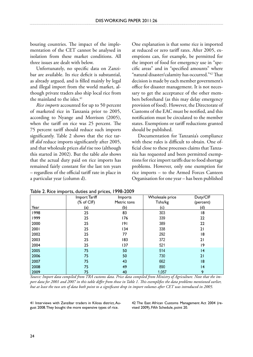bouring countries. The impact of the implementation of the CET cannot be analysed in isolation from these market conditions. All three issues are dealt with below.

Unfortunately, no specific data on Zanzibar are available. Its rice deficit is substantial, as already argued, and is filled mainly by legal and illegal import from the world market, although private traders also ship local rice from the mainland to the isles.<sup>41</sup>

*Rice imports* accounted for up to 50 percent of marketed rice in Tanzania prior to 2005, according to Nyange and Morrison (2005), when the tariff on rice was 25 percent. The 75 percent tariff should reduce such imports significantly. Table 2 shows that the rice tariff *did* reduce imports significantly after 2005, and that wholesale prices *did* rise too (although this started in 2002). But the table *also* shows that the actual duty paid on rice imports has remained fairly constant for the last ten years – regardless of the official tariff rate in place in a particular year (column d).

One explanation is that some rice is imported at reduced or zero tariff rates. After 2005, exemptions can, for example, be permitted for the import of food for emergency use in "specific areas" and in "specified amounts" where "natural disaster/calamity has occurred."42 That decision is made by each member government's office for disaster management. It is not necessary to get the acceptance of the other members beforehand (as this may delay emergency provision of food). However, the Directorate of Customs of the EAC must be notified, and this notification must be circulated to the member states. Exemptions or tariff reductions granted should be published.

Documentation for Tanzania's compliance with these rules is difficult to obtain. One official close to these processes claims that Tanzania has requested and been permitted exemptions for rice import tariffs due to food shortage problems. However, only one exemption for rice imports – to the Armed Forces Canteen Organisation for one year – has been published

|      | Import Tariff         | Imports     | Wholesale price | Duty/CIF  |
|------|-----------------------|-------------|-----------------|-----------|
|      | $(% )^{2}(x)$ of CIF) | Metric tons | Tshs/kg         | (percent) |
| Year | (a)                   | (b)         | (c)             | (d)       |
| 1998 | 25                    | 83          | 303             | 18        |
| 1999 | 25                    | 176         | 339             | 22        |
| 2000 | 25                    | 9           | 389             | 22        |
| 2001 | 25                    | 134         | 338             | 21        |
| 2002 | 25                    | 77          | 292             | 18        |
| 2003 | 25                    | 183         | 372             | 21        |
| 2004 | 25                    | 137         | 521             | 9         |
| 2005 | 75                    | 50          | 514             | 4         |
| 2006 | 75                    | 50          | 730             | 21        |
| 2007 | 75                    | 43          | 662             | 8         |
| 2008 | 75                    | 49          | 890             | 14        |
| 2009 | 75                    | 40          | 1,057           | 9         |

Table 2. Rice imports, duties and prices, 1998-2009

*Source: Import data compiled from TRA customs data. Price data compiled from Ministry of Agriculture. Note that the import data for 2001 and 2007 in this table differ from those in Table 1. This exemplifies the data problems mentioned earlier, but at least the two sets of data both point to a significant drop in import volumes after CET was introduced in 2005.*

41 Interviews with Zanzibar traders in Kilosa district, August 2008. They bought the more expensive types of rice.

42 The East African Customs Management Act 2004 (revised 2009), Fifth Schedule, point 20.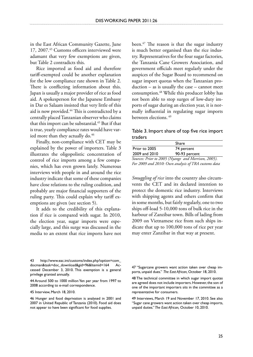in the East African Community Gazette, June 17, 2007.43 Customs officers interviewed were adamant that very few exemptions are given, but Table 2 contradicts this.

Rice imported as food aid and therefore tariff-exempted could be another explanation for the low compliance rate shown in Table 2. There is conflicting information about this. Japan is usually a major provider of rice as food aid. A spokesperson for the Japanese Embassy in Dar es Salaam insisted that very little of this aid is now provided.44 This is contradicted by a centrally placed Tanzanian observer who claims that this import can be substantial.<sup>45</sup> But if that is true, yearly compliance rates would have varied more than they actually do.<sup>46</sup>

Finally, non-compliance with CET may be explained by the power of importers. Table 3 illustrates the oligopolistic concentration of control of rice imports among a few companies, which has even grown lately. Numerous interviews with people in and around the rice industry indicate that some of these companies have close relations to the ruling coalition, and probably are major financial supporters of the ruling party. This could explain why tariff exemptions are given (see section 5).

It adds to the credibility of this explanation if rice is compared with sugar. In 2010, the election year, sugar imports were especially large, and this surge was discussed in the media to an extent that rice imports have not been. $47$  The reason is that the sugar industry is much better organised than the rice industry. Representatives for the four sugar factories, the Tanzania Cane Growers Association, and government officials meet regularly under the auspices of the Sugar Board to recommend on sugar import quotas when the Tanzanian production – as is usually the case – cannot meet consumption.<sup>48</sup> While this producer lobby has not been able to stop surges of low-duty imports of sugar during an election year, it is normally influential in regulating sugar imports between elections. 49

Table 3. Import share of top five rice import traders

|                                                     | Share         |  |  |
|-----------------------------------------------------|---------------|--|--|
| Prior to 2005                                       | 74 percent    |  |  |
| 2009 and 2010                                       | 90-93 percent |  |  |
| Sources: Prior to 2005 (Nyange and Morrison, 2005). |               |  |  |
| For 2009 and 2010: Own analysis of TRA customs data |               |  |  |

*Smuggling of rice* into the country also circumvents the CET and its declared intention to protect the domestic rice industry. Interviews with shipping agents and others confirm that in some months, but fairly regularly, one to two ships off-load 5-10,000 tons of bulk rice in the harbour of Zanzibar town. Bills of lading from 2009 on Vietnamese rice from such ships indicate that up to 100,000 tons of rice per year may enter Zanzibar in that way at present.

45 Interview, March 18, 2010.

<sup>43</sup> http://www.eac.int/customs/index.php?option=com\_ docman&task=doc\_download&gid=96&Itemid=164 cessed December 3, 2010. This exemption is a general privilege granted annually.

<sup>44</sup> Around 500 to 1000 million Yen per year from 1997 to 2008 according to e-mail correspondence.

<sup>46</sup> Hunger and food deprivation is analysed in 2001 and 2007 in United Republic of Tanzania (2010). Food aid does not appear to have been significant for food supplies.

<sup>47 &</sup>quot;Sugarcane growers want action taken over cheap imports, unpaid dues." *The East African,* October 18, 2010.

<sup>48</sup> The technical committee in which sugar import quotas are agreed does not include importers. However, the son of one of the important importers sits in the committee as a representative for consumers.

<sup>49</sup> Interviews, March 19 and November 17, 2010. See also "Sugar cane growers want action taken over cheap imports, unpaid duties." *The East African,* October 10, 2010.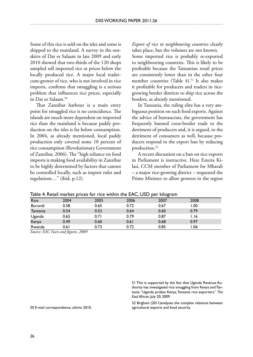Some of this rice is sold on the isles and some is shipped to the mainland. A survey in the outskirts of Dar es Salaam in late 2009 and early 2010 showed that two-thirds of the 120 shops sampled sell imported rice at prices below the locally produced rice. A major local tradercum-grower of rice, who is not involved in rice imports, confirms that smuggling is a serious problem that influences rice prices, especially in Dar es Salaam.50

That Zanzibar harbour is a main entry point for smuggled rice is no coincidence. The islands are much more dependent on imported rice than the mainland is because paddy production on the isles is far below consumption. In 2004, as already mentioned, local paddy production only covered some 10 percent of rice consumption (Revolutionary Government of Zanzibar, 2006). The "high reliance on food imports is making food availability in Zanzibar to be highly determined by factors that cannot be controlled locally, such as import rules and regulations…" (ibid, p.12).

*Export of rice to neighbouring countries* clearly takes place, but the volumes are not known.

Some imported rice is probably re-exported to neighbouring countries. This is likely to be profitable because the Tanzanian retail prices are consistently lower than in the other four member countries (Table 4).<sup>51</sup> It also makes it profitable for producers and traders in ricegrowing border districts to ship rice across the borders, as already mentioned.

In Tanzania, the ruling elite has a very ambiguous position on such food exports. Against the advice of bureaucrats, the government has frequently banned cross-border trade to the detriment of producers and, it is argued, to the detriment of consumers as well, because producers respond to the export ban by reducing production.<sup>52</sup>

A recent discussion on a ban on rice exports in Parliament is instructive. Here Esteria Kilasi, CCM member of Parliament for Mbarali – a major rice-growing district – requested the Prime Minister to allow growers in the region

| <b>Rice</b>                                                        | 2004          | 2005 | 2006 | 2007 | 2008  |
|--------------------------------------------------------------------|---------------|------|------|------|-------|
| <b>Burundi</b>                                                     | 0.58          | 0.65 | 0.72 | 0.67 | 1.00  |
| Tanzania                                                           | 0.54          | 0.53 | 0.64 | 0.60 | 0.79  |
| Uganda                                                             | 0.65          | 0.71 | 0.79 | 0.87 | I.I6  |
| Kenya                                                              | 0.49          | 0.60 | 0.61 | 0.68 | 0.97  |
| Rwanda                                                             | 0.61          | 0.73 | 0.72 | 0.85 | 06. ا |
| $\sim$ $\sim$ $\sim$ $\sim$ $\sim$ $\sim$ $\sim$ $\sim$<br>_ _ _ _ | $\sim$ $\sim$ |      |      |      |       |

Table 4. Retail market prices for rice within the EAC, USD per kilogram

*Source: EAC Facts and figures, 2009*

51 This is supported by the fact that Uganda Revenue Authority has investigated rice smuggling from Kenya and Tanzania. "Uganda probes Kenya, Tanzania rice exporters." *The East African*, July 20, 2009.

52 Brigham (2011)analyses the complex relations between agricultural exports and food security.

50 E-mail correspondence, ultimo 2010.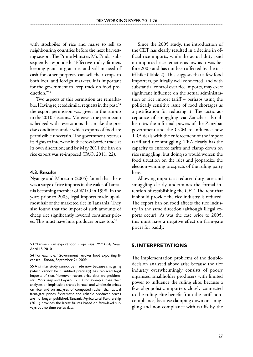with stockpiles of rice and maize to sell to neighbouring countries before the next harvesting season. The Prime Minister, Mr. Pinda, subsequently responded: "Effective today farmers keeping grain in granaries and still in need of cash for other purposes can sell their crops to both local and foreign markets. It is important for the government to keep track on food production."53

Two aspects of this permission are remarkable. Having rejected similar requests in the past,  $54$ the export permission was given in the run-up to the 2010 elections. Moreover, the permission is hedged with reservations that make the precise conditions under which exports of food are permissible uncertain. The government reserves its rights to intervene in the cross-border trade at its own discretion; and by May 2011 the ban on rice export was re-imposed (FAO, 2011, 22).

### **4.3. Results**

Nyange and Morrison (2005) found that there was a surge of rice imports in the wake of Tanzania becoming member of WTO in 1998. In the years prior to 2005, legal imports made up almost half of the marketed rice in Tanzania. They also found that the import of such amounts of cheap rice significantly lowered consumer prices. This must have hurt producer prices too.<sup>55</sup>

53 "Farmers can export food crops, says PM." *Daily News*, April 15, 2010.

54 For example, "Government revokes food exporting licenses." *Thisday*, September 24, 2009.

55 A similar study cannot be made now because smuggling (which cannot be quantified precisely) has replaced legal imports of rice. Moreover, recent price data are problematic. Morrissey and Leyaro (2007)for example, base their analyses on implausible trends in retail and wholesale prices on rice; and on analyses of computed rather than actual farm-gate prices. Systematic and reliable producer prices are no longer published. Tanzania Agricultural Partnership (2011) provides the latest figures based on farm-level surveys but no time series data.

Since the 2005 study, the introduction of the CET has clearly resulted in a decline in official rice imports, while the actual duty paid on imported rice remains as low as it was before 2005 and has not been affected by the tariff hike (Table 2). This suggests that a few food importers, politically well connected, and with substantial control over rice imports, may exert significant influence on the actual administration of rice import tariff – perhaps using the politically sensitive issue of food shortages as a justification for reducing it. The tactic acceptance of smuggling via Zanzibar also illustrates the informal powers of the Zanzibar government and the CCM to influence how TRA deals with the enforcement of the import tariff and rice smuggling. TRA clearly has the capacity to enforce tariffs and clamp down on rice smuggling, but doing so would worsen the food situation on the isles and jeopardize the election-winning prospects of the ruling party here.

Allowing imports at reduced duty rates and smuggling clearly undermines the formal intention of establishing the CET. The rent that it should provide the rice industry is reduced. The export ban on food affects the rice industry in the same direction (although illegal exports occur). As was the case prior to 2005, this must have a negative effect on farm-gate prices for paddy.

### **5. Interpretations**

The implementation problems of the doubledecision analysed above arise because the rice industry overwhelmingly consists of poorly organised smallholder producers with limited power to influence the ruling elite; because a few oligopolistic importers closely connected to the ruling elite benefit from the tariff noncompliance; because clamping down on smuggling and non-compliance with tariffs by the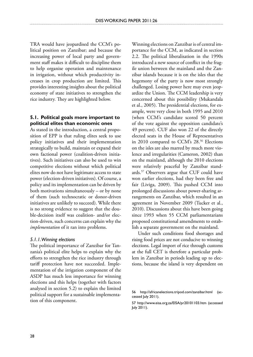TRA would have jeopardised the CCM's political position on Zanzibar; and because the increasing power of local party and government staff makes it difficult to discipline them to help organise operation and maintenance in irrigation, without which productivity increases in crop production are limited. This provides interesting insights about the political economy of state initiatives to strengthen the rice industry. They are highlighted below.

### **5.1. Political goals more important to political elites than economic ones**

As stated in the introduction, a central proposition of EPP is that ruling elites seek to use policy initiatives and their implementation strategically to build, maintain or expand their own factional power (coalition-driven initiatives). Such initiatives can also be used to win competitive elections without which political elites now do not have legitimate access to state power (election-driven initiatives). Of course, a policy and its implementation can be driven by both motivations simultaneously – or by none of them (such technocratic or donor-driven initiatives are unlikely to succeed). While there is no strong evidence to suggest that the double-decision itself was coalition- and/or election-driven, such concerns can explain why the *implementation* of it ran into problems.

### *5.1.1. Winning elections*

The political importance of Zanzibar for Tanzania's political elite helps to explain why the efforts to strengthen the rice industry through tariff protection have not succeeded. Implementation of the irrigation component of the ASDP has much less importance for winning elections and this helps (together with factors analysed in section 5.2) to explain the limited political support for a sustainable implementation of this component.

Winning elections on Zanzibar is of central importance for the CCM, as indicated in section 2.2. The political liberalisation in the 1990s introduced a new source of conflict in the fragile union between the mainland and the Zanzibar islands because it is on the isles that the hegemony of the party is now most strongly challenged. Losing power here may even jeopardize the Union. The CCM leadership is very concerned about this possibility (Mukandala et al., 2005). The presidential elections, for example, were very close in both 1995 and 2010 (when CCM's candidate scored 50 percent of the vote against the opposition candidate's 49 percent). CUF also won 22 of the directly elected seats in the House of Representatives in 2010 compared to CCM's 28.<sup>56</sup> Elections on the isles are also marred by much more violence and irregularities (Cameron, 2002) than on the mainland, although the 2010 elections were relatively peaceful by Zanzibar standards.57 Observers argue that CUF could have won earlier elections, had they been free and fair (Liviga, 2009). This pushed CCM into prolonged discussions about power-sharing arrangements on Zanzibar, which resulted in an agreement in November 2009 (Tucker et al., 2010). Discussions about this have been going since 1993 when 55 CCM parliamentarians proposed constitutional amendments to establish a separate government on the mainland.

Under such conditions food shortages and rising food prices are not conducive to winning elections. Legal import of rice through customs at the full CET is therefore a particular problem in Zanzibar in periods leading up to elections, because the island is very dependent on

<sup>56</sup> http://africanelections.tripod.com/zanzibar.html (accessed July 2011).

<sup>57</sup> http://www.eisa.org.za/EISA/pr20101103.htm (accessed July 2011).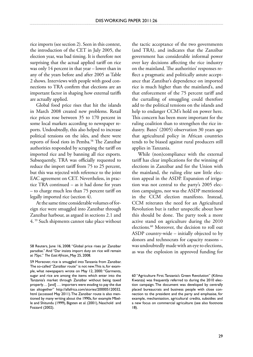rice imports (see section 2). Seen in this context, the introduction of the CET in July 2005, the election year, was bad timing. It is therefore not surprising that the actual applied tariff on rice was only 14 percent in that year – lower than in any of the years before and after 2005 as Table 2 shows. Interviews with people with good connections to TRA confirm that elections are an important factor in shaping how external tariffs are actually applied.

Global food price rises that hit the islands in March 2008 created new problems. Retail rice prices rose between 35 to 170 percent in some local markets according to newspaper reports. Undoubtedly, this also helped to increase political tensions on the isles, and there were reports of food riots in Pemba.58 The Zanzibar authorities responded by scrapping the tariff on imported rice and by banning all rice exports. Subsequently, TRA was officially requested to reduce the import tariff from 75 to 25 percent, but this was rejected with reference to the joint EAC agreement on CET. Nevertheless, in practice TRA continued – as it had done for years – to charge much less than 75 percent tariff on legally imported rice (section 4).

At the same time considerable volumes of foreign rice were smuggled into Zanzibar through Zanzibar harbour, as argued in sections 2.1 and 4. 59 Such shipments cannot take place without

59 Moreover, rice is smuggled into Tanzania from Zanzibar. The so-called "Zanzibar route" is not new. This is, for example, what newspapers wrote on May 12, 2000: "Garments, sugar and rice are among the items which enter into the Tanzania's market through Zanzibar without being taxed properly… [and] … importers were evading to pay the due tax altogether" http://allafrica.com/stories/200005120032. html (accessed May 2011). The Zanzibar route is also mentioned by many writing about the 1990s, for example Mbelle and Shitundu (1999), Bigsten et al. (2001), Naschold and Fozzard (2002).

the tactic acceptance of the two governments (and TRA), and indicates that the Zanzibar government has considerable informal power over key decisions affecting the rice industry on the mainland. The authorities' responses reflect a pragmatic and politically astute acceptance that Zanzibar's dependence on imported rice is much higher than the mainland's, and that enforcement of the 75 percent tariff and the curtailing of smuggling could therefore add to the political tensions on the islands and help to endanger CCM's hold on power here. This concern has been more important for the ruling coalition than to strengthen the rice industry. Bates' (2005) observation 30 years ago that agricultural policy in African countries tends to be biased against rural producers still applies in Tanzania.

While (non)compliance with the external tariff has clear implications for the winning of elections in Zanzibar and for the Union with the mainland, the ruling elite saw little election appeal in the ASDP. Expansion of irrigation was not central to the party's 2005 election campaigns, nor was the ASDP mentioned in the CCM election manifesto. Instead, CCM reiterates the need for an Agricultural Revolution but is rather unspecific about how this should be done. The party took a more active stand on agriculture during the 2010 elections.60 Moreover, the decision to roll out ASDP country-wide – initially objected to by donors and technocrats for capacity reasons – was undoubtedly made with an eye to elections, as was the explosion in approved funding for

<sup>58</sup> Reuters, June 16, 2008. "Global price rises jar Zanzibar paradise." And "Dar insists import duty on rice will remain at 75pc." *The East African,* May 25, 2008.

<sup>60 &</sup>quot;Agriculture First. Tanzania's Green Revolution" (Kilimo Kwanza) was frequently referred to during the 2010 election campaign. The document was developed by centrally placed bureaucrats and business people with close connection to the president and the party and emphasise, for example, mechanisation, agricultural credits, subsidies and a new focus on commercial agriculture (see also footnote 18).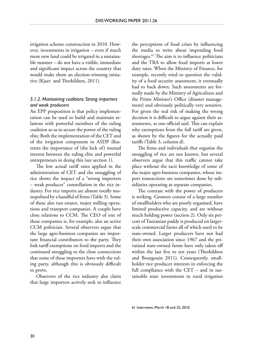irrigation scheme construction in 2010. However, investments in irrigation – even if much more new land could be irrigated in a sustainable manner – do not have a visible, immediate and significant impact across the country that would make them an election-winning initiative (Kjaer and Therkildsen, 2011).

# *5.1.2. Maintaining coalitions: Strong importers and weak producers*

An EPP proposition is that policy implementation can be used to build and maintain relations with powerful members of the ruling coalition so as to secure the power of the ruling elite.Both the implementation of the CET and of the irrigation component in ASDP illustrates the importance of (the lack of) mutual interest between the ruling elite and powerful entrepreneurs in doing this (see section 1).

The low actual tariff rates applied in the administration of CET and the smuggling of rice shows the impact of a "strong importers – weak producer" constellation in the rice industry. For rice imports are almost totally monopolised by a handful of firms (Table 3). Some of these also run estates, major milling operations and transport companies. A couple have close relations to CCM. The CEO of one of these companies is, for example, also an active CCM politician. Several observers argue that the large agro-business companies are important financial contributors to the party. They link tariff exemptions on food imports and the continued smuggling to the close connections that some of these importers have with the ruling party, although this is obviously difficult to prove.

Observers of the rice industry also claim that large importers actively seek to influence

the perceptions of food crises by influencing the media to write about impending food shortages.<sup>61</sup> The aim is to influence politicians and the TRA to allow food imports at lower duty rates. When the Ministry of Finance, for example, recently tried to question the validity of a food security assessment, it eventually had to back down. Such assessments are formally made by the Ministry of Agriculture and the Prime Minister's Office (disaster management) and obviously politically very sensitive. For given the real risk of making the wrong decision it is difficult to argue against their assessments, as one official said. This can explain why exemptions from the full tariff are given, as shown by the figures for the actually paid tariffs (Table 3, column d).

The firms and individuals that organise the smuggling of rice are not known, but several observers argue that this traffic cannot take place without the tacit knowledge of some of the major agro-business companies, whose import transactions are sometimes done by subsidiaries operating as separate companies.

The contrast with the power of producers is striking. Growers consist of a large number of smallholders who are poorly organised, have limited productive capacity, and are without much holding power (section 2). Only six percent of Tanzanian paddy is produced on largerscale commercial farms all of which used to be state-owned. Larger producers have not had their own association since 1967 and the privatised state-owned farms have only taken off within the last five to ten years (Therkildsen and Bourgouin 2011). Consequently, smallholder rice producer interests in enforcing the full compliance with the CET – and in sustainable state investments in rural irrigation

61 Interviews, March 18 and 25, 2010.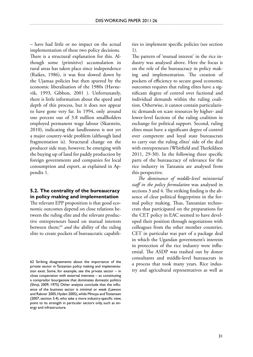– have had little or no impact on the actual implementation of these two policy decisions. There is a structural explanation for this. Although some (primitive) accumulation in rural areas has taken place since independence (Raikes, 1986), it was first slowed down by the Ujamaa policies but then spurred by the economic liberalisation of the 1980s (Havnevik, 1993, Gibbon, 2001 ). Unfortunately, there is little information about the speed and depth of this process, but it does not appear to have gone very far. In 1994, only around one percent out of 3.8 million smallholders employed permanent wage labour (Skarstein, 2010), indicating that landlessness is not yet a major country-wide problem (although land fragmentation is). Structural change on the producer side may, however, be emerging with the buying up of land for paddy production by foreign governments and companies for local consumption and export, as explained in Appendix 1.

# **5.2. The centrality of the bureaucracy in policy making and implementation**

The relevant EPP proposition is that good economic outcomes depend on close relations between the ruling elite and the relevant productive entrepreneurs based on mutual interests between them;<sup>62</sup> and the ability of the ruling elite to create pockets of bureaucratic capabilities to implement specific policies (see section 1).

The pattern of 'mutual interest' in the rice industry was analysed above. Here the focus is on the role of the bureaucracy in policy making and implementation. The creation of pockets of efficiency to secure good economic outcomes requires that ruling elites have a significant degree of control over factional and individual demands within the ruling coalition. Otherwise, it cannot contain particularistic demands on scare resources by higher- and lower-level factions of the ruling coalition in exchange for political support. Second, ruling elites must have a significant degree of control over competent and loyal state bureaucrats to carry out the ruling elites' side of the deal with entrepreneurs (Whitfield and Therkildsen 2011, 29-30). In the following three specific parts of the bureaucracy of relevance for the rice industry in Tanzania are analysed from this perspective.

*The dominance of middle-level ministerial staff in the policy formulation* was analysed in sections 3 and 4. The striking finding is the absence of clear political fingerprints in the formal policy making. Thus, Tanzanian technocrats that participated on the preparations for the CET policy in EAC seemed to have developed their position through negotiations with colleagues from the other member countries. CET in particular was part of a package deal in which the Ugandan government's interests in protection of the rice industry were influential. The ASDP was trashed out by donor consultants and middle-level bureaucrats in a process that took many years. Rice industry and agricultural representatives as well as

<sup>62</sup> Striking disagreements about the importance of the private sector in Tanzanian policy making and implementation exist. Some, for example, see the private sector – in close cooperation with external interests – as constituting a comprador bourgeoisie that dominates domestic politics (Shivji, 2009, 1975) Other analysts conclude that the influence of the business sector is minimal or weak (Lawson and Rakner 2005, Hyden 2005), while Mmuya and Tostensen (2007, section 3.4), who take a more industry-specific view, point to its strength in particular sectors only, such as energy and infrastructure.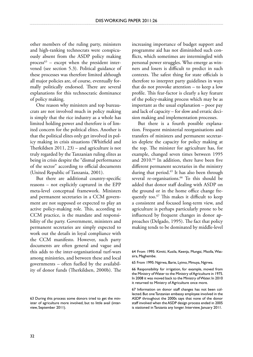other members of the ruling party, ministers and high-ranking technocrats were conspicuously absent from the ASDP policy making process $63$  – except when the president intervened (see section 5.3). Political guidance of these processes was therefore limited although all major policies are, of course, eventually formally politically endorsed. There are several explanations for this technocratic dominance of policy making.

One reason why ministers and top bureaucrats are not involved much in policy making is simply that the rice industry as a whole has limited holding power and therefore is of limited concern for the political elites. Another is that the political elites only get involved in policy making in crisis situations (Whitfield and Therkildsen 2011, 23) – and agriculture is not truly regarded by the Tanzanian ruling elites as being in crisis despite the "dismal performance of the sector" according to official documents (United Republic of Tanzania, 2001).

But there are additional country-specific reasons – not explicitly captured in the EPP meta-level conceptual framework. Ministers and permanent secretaries in a CCM government are not supposed or expected to play an active policy-making role. This, according to CCM practice, is the mandate and responsibility of the party. Government, ministers and permanent secretaries are simply expected to work out the details in loyal compliance with the CCM manifesto. However, such party documents are often general and vague and this adds to the inter-organisational turf-wars among ministries, and between these and local governments – often fuelled by the availability of donor funds (Therkildsen, 2000b). The

increasing importance of budget support and programme aid has not diminished such conflicts, which sometimes are intermingled with personal power struggles. Who emerge as winners and losers is difficult to predict in such contexts. The safest thing for state officials is therefore to interpret party guidelines in ways that do not provoke attention – to keep a low profile. This fear-factor is clearly a key feature of the policy-making process which may be as important as the usual explanation – poor pay and lack of capacity – for slow and erratic decision making and implementation processes.

But there is a fourth possible explanation. Frequent ministerial reorganisations and transfers of ministers and permanent secretaries deplete the capacity for policy making at the top. The minister for agriculture has, for example, changed seven times between 1995 and 2010.64 In addition, there have been five different permanent secretaries in the ministry during that period.<sup>65</sup> It has also been through several re-organisations.<sup>66</sup> To this should be added that donor staff dealing with ASDP on the ground or in the home office change frequently too.<sup>67</sup> This makes it difficult to keep a consistent and focused long-term view, and agriculture is perhaps particularly prone to be influenced by frequent changes in donor approaches (Delgado, 1995). The fact that policy making tends to be dominated by middle-level

<sup>63</sup> During this process some donors tried to get the minister of agriculture more involved, but to little avail (interview, September 2011).

<sup>64</sup> From 1995: Kimiti, Kusila, Keenja, Mungai, Msolla, Wassira, Maghembe.

<sup>65</sup> From 1995: Ngirwa, Barie, Lyimo, Mmuya, Ngirwa.

<sup>66</sup> Responsibility for irrigation, for example, moved from the Ministry of Water to the Ministry of Agriculture in 1975. In 2008 it was moved back to the Ministry of Water. In 2010 it returned to Ministry of Agriculture once more.

<sup>67</sup> Information on donor staff changes has not been collected. But one Tanzanian embassy employee involved in the ASDP throughout the 2000s says that none of the donor staff involved when the ASDP design process ended in 2005 is stationed in Tanzania any longer. Interview, January 2011.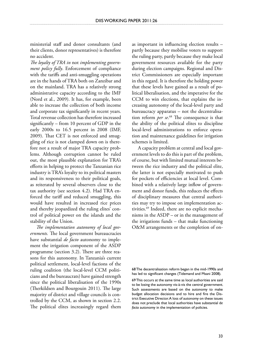ministerial staff and donor consultants (and their clients, donor representatives) is therefore no accident.

*The loyalty of TRA in* not *implementing government policy fully*. Enforcement of compliance with the tariffs and anti-smuggling operations are in the hands of TRA both on Zanzibar and on the mainland. TRA has a relatively strong administrative capacity according to the IMF (Nord et al., 2009). It has, for example, been able to increase the collection of both income and corporate tax significantly in recent years. Total revenue collection has therefore increased significantly – from 10 percent of GDP in the early 2000s to 16.5 percent in 2008 (IMF, 2009). That CET is not enforced and smuggling of rice is not clamped down on is therefore not a result of major TRA capacity problems. Although corruption cannot be ruled out, the most plausible explanation for TRA's efforts in helping to protect the Tanzanian rice industry is TRA's loyalty to its political masters and its responsiveness to their political goals, as reiterated by several observers close to the tax authority (see section 4.2). Had TRA enforced the tariff and reduced smuggling, this would have resulted in increased rice prices and thereby jeopardized the ruling elites' control of political power on the islands and the stability of the Union.

*The implementation autonomy of local governments.* The local government bureaucracies have substantial *de facto* autonomy to implement the irrigation component of the ASDP programme (section 3.2). There are three reasons for this autonomy. In Tanzania's current political settlement, local-level factions of the ruling coalition (the local-level CCM politicians and the bureaucrats) have gained strength since the political liberalisation of the 1990s (Therkildsen and Bourgouin 2011). The large majority of district and village councils is controlled by the CCM, as shown in section 2.2. The political elites increasingly regard them as important in influencing election results – partly because they mobilise voters to support the ruling party, partly because they make local government resources available for the party during election campaigns. Regional and District Commissioners are especially important in this regard. It is therefore the holding power that these levels have gained as a result of political liberalisation, and the imperative for the CCM to win elections, that explains the increasing autonomy of the local-level party and bureaucracy apparatus – not the decentralisation reform *per se*. 68 The consequence is that the ability of the political elites to discipline local-level administrations to enforce operation and maintenance guidelines for irrigation schemes is limited.

A capacity problem at central and local government levels to do this is part of the problem, of course, but with limited mutual interests between the rice industry and the political elite, the latter is not especially motivated to push for pockets of efficiencies at local level. Combined with a relatively large inflow of government and donor funds, this reduces the effects of disciplinary measures that central authorities may try to impose on implementation activities.69 Indeed, there are no explicit mechanisms in the ASDP – or in the management of the irrigations funds – that make functioning O&M arrangements or the completion of on-

68 The decentralisation reform began in the mid-1990s and has led to significant changes (Tidemand and Msani 2008).

69 This occurs at the same time as local authorities are said to be losing the autonomy vis-à-vis the central government. Such assessments are based on the autonomy to make budget allocation decisions and to hire and fire the District Executive Director. A loss of autonomy on these issues does not preclude that local authorities have substantial d*e facto* autonomy in the implementation of policies.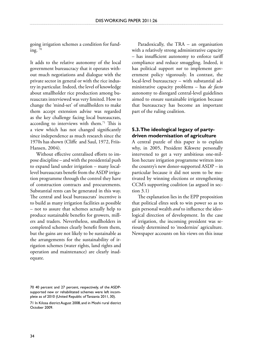going irrigation schemes a condition for funding.  $70$ 

It adds to the relative autonomy of the local government bureaucracy that it operates without much negotiations and dialogue with the private sector in general or with the rice industry in particular. Indeed, the level of knowledge about smallholder rice production among bureaucrats interviewed was very limited. How to change the 'mind-set' of smallholders to make them accept extension advise was regarded as the key challenge facing local bureaucrats, according to interviews with them.<sup>71</sup> This is a view which has not changed significantly since independence as much research since the 1970s has shown (Cliffe and Saul, 1972, Friis-Hansen, 2004).

Without effective centralised efforts to impose discipline – and with the presidential push to expand land under irrigation – many locallevel bureaucrats benefit from the ASDP irrigation programme through the control they have of construction contracts and procurements. Substantial rents can be generated in this way. The central and local bureaucrats' incentive is to build as many irrigation facilities as possible – not to assure that schemes actually help to produce sustainable benefits for growers, millers and traders. Nevertheless, smallholders in completed schemes clearly benefit from them, but the gains are not likely to be sustainable as the arrangements for the sustainability of irrigation schemes (water rights, land rights and operation and maintenance) are clearly inadequate.

Paradoxically, the TRA – an organisation with a relatively strong administrative capacity – has insufficient autonomy to enforce tariff compliance and reduce smuggling. Indeed, it has political support *not* to implement government policy vigorously. In contrast, the local-level bureaucracy – with substantial administrative capacity problems – has *de facto* autonomy to disregard central-level guidelines aimed to ensure sustainable irrigation because that bureaucracy has become an important part of the ruling coalition.

# **5.3. The ideological legacy of partydriven modernisation of agriculture**

A central puzzle of this paper is to explain why, in 2005, President Kikwete personally intervened to get a very ambitious one-million hectare irrigation programme written into the country's new donor-supported ASDP – in particular because it did not seem to be motivated by winning elections or strengthening CCM's supporting coalition (as argued in section 3.1)

The explanation lies in the EPP proposition that political elites seek to win power so as to gain personal wealth *and* to influence the ideological direction of development. In the case of irrigation, the incoming president was seriously determined to 'modernize' agriculture. Newspaper accounts on his views on this issue

<sup>70 40</sup> percent and 27 percent, respectively, of the ASDPsupported new or rehabilitated schemes were left incomplete as of 2010 (United Republic of Tanzania 2011, 30).

<sup>71</sup> In Kilosa district August 2008, and in Moshi rural district October 2009.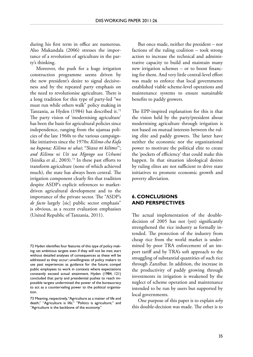during his first term in office are numerous. Also Mukandala (2006) stresses the importance of a revolution of agriculture in the party's thinking.

Moreover, the push for a huge irrigation construction programme seems driven by the new president's desire to signal decisiveness and by the repeated party emphasis on the need to revolutionise agriculture. There is a long tradition for this type of party-led "we must run while others walk" policy making in Tanzania, as Hyden (1984) has described it.72 The party vision of 'modernising agriculture' has been the basis for agricultural policies since independence, ranging from the ujamaa policies of the late 1960s to the various campaignlike initiatives since the 1970s: *Kilimo cha Kufa na kupona; Kilimo ni uhai*; "*Siasa ni kilimo*"; *and Kilimu ni Uti wa Mgongo wa Uchumi* (Isinika et al., 2003).<sup>73</sup> In these past efforts to transform agriculture (none of which achieved much), the state has always been central. The irrigation component clearly fits that tradition despite ASDP's explicit references to marketdriven agricultural development and to the importance of the private sector. The "ASDP's *de facto* largely [sic] public sector emphasis" is obvious, as a recent evaluation emphasises (United Republic of Tanzania, 2011).

72 Hyden identifies four features of this type of policy making: set ambitious targets even if they will not be met; start without detailed analyses of consequences as these will be addressed as they occur; unwillingness of policy makers to use past experiences as guidance for the future; compel public employees to work in contexts where expectations constantly exceed actual attainment. Hyden (1984, 121) concluded that party and presidential pushes to reach impossible targets undermined the power of the bureaucracy to act as a countervailing power to the political organisation.

73 Meaning, respectively, "Agriculture as a matter of life and death;" "Agriculture is life;" "Politics is agriculture;" and "Agriculture is the backbone of the economy."

But once made, neither the president – nor factions of the ruling coalition – took strong action to increase the technical and administrative capacity to build and maintain many new irrigation schemes – or to boost financing for them. And very little central-level effort was made to enforce that local governments established viable scheme-level operations and maintenance systems to ensure sustainable benefits to paddy growers.

The EPP-inspired explanation for this is that the vision held by the party/president about modernising agriculture through irrigation is not based on mutual interests between the ruling elite and paddy growers. The latter have neither the economic nor the organizational power to motivate the political elite to create the 'pockets of efficiency' that could make this happen. In that situation ideological desires by ruling elites are not sufficient to drive state initiatives to promote economic growth and poverty alleviation.

# **6. Conclusions and perspectives**

The actual implementation of the doubledecision of 2005 has not (yet) significantly strengthened the rice industry as formally intended. The protection of the industry from cheap rice from the world market is undermined by poor TRA enforcement of an import tariff and by TRA's soft approach to the smuggling of substantial quantities of such rice through Zanzibar. In addition, the increase in the productivity of paddy growing through investments in irrigation is weakened by the neglect of scheme operation and maintenance intended to be run by users but supported by local governments.

One purpose of this paper is to explain *why* this double-decision was made. The other is to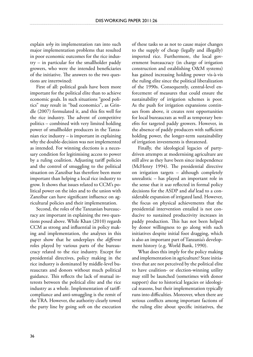explain *why* its implementation ran into such major implementation problems that resulted in poor economic outcomes for the rice industry – in particular for the smallholder paddy growers, who were the intended beneficiaries of the initiative. The answers to the two questions are intertwined:

First of all: political goals have been more important for the political elite than to achieve economic goals. In such situations "good politics" may result in "bad economics", as Grindle (2007) formulated it, and this fits well for the rice industry. The advent of competitive politics – combined with very limited holding power of smallholder producers in the Tanzanian rice industry – is important in explaining why the double-decision was not implemented as intended. For winning elections is a necessary condition for legitimising access to power by a ruling coalition. Adjusting tariff policies and the control of smuggling to the political situation on Zanzibar has therefore been more important than helping a local rice industry to grow. It shows that issues related to CCM's political power on the isles and to the union with Zanzibar can have significant influence on agricultural policies and their implementation.

Second, the roles of the Tanzanian bureaucracy are important in explaining the two questions posed above. While Khan (2010) regards CCM as strong and influential in policy making and implementation, the analyses in this paper show that he underplays the *different* roles played by various parts of the bureaucracy related to the rice industry. Except for presidential directives, policy making in the rice industry is dominated by middle-level bureaucrats and donors without much political guidance. This reflects the lack of mutual interests between the political elite and the rice industry as a whole. Implementation of tariffcompliance and anti-smuggling is the remit of the TRA. However, the authority clearly towed the party line by going soft on the execution

of these tasks so as not to cause major changes to the supply of cheap (legally and illegally) imported rice. Furthermore, the local government bureaucracy (in charge of irrigation construction and establishing O&M systems) has gained increasing holding power vis-à-vis the ruling elite since the political liberalization of the 1990s. Consequently, central-level enforcement of measures that could ensure the sustainability of irrigation schemes is poor. As the push for irrigation expansions continues from above, it creates rent opportunities for local bureaucrats as well as temporary benefits for targeted paddy growers. However, in the absence of paddy producers with sufficient holding power, the longer-term sustainability of irrigation investments is threatened.

Finally, the ideological legacies of partydriven attempts at modernising agriculture are still alive as they have been since independence (McHenry 1994). The presidential directive on irrigation targets – although completely unrealistic – has played an important role in the sense that it *was* reflected in formal policy decisions for the ASDP and *did* lead to a considerable expansion of irrigated land. However, the focus on physical achievements that the presidential intervention entailed is not conducive to sustained productivity increases in paddy production. This has not been helped by donor willingness to go along with such initiatives despite initial foot dragging, which is also an important part of Tanzania's development history (e.g. World Bank, 1990).

What does this imply for the policy making and implementation in agriculture? State initiatives that are not perceived by the political elite to have coalition- or election-winning utility may still be launched (sometimes with donor support) due to historical legacies or ideological reasons, but their implementation typically runs into difficulties. Moreover, when there are serious conflicts among important factions of the ruling elite about specific initiatives, the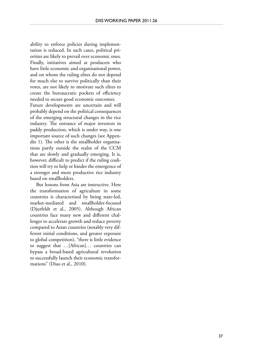ability to enforce policies during implementation is reduced. In such cases, political priorities are likely to prevail over economic ones. Finally, initiatives aimed at producers who have little economic and organisational power, and on whom the ruling elites do not depend for much else to survive politically than their votes, are not likely to motivate such elites to create the bureaucratic pockets of efficiency needed to secure good economic outcomes.

Future developments are uncertain and will probably depend on the political consequences of the emerging structural changes in the rice industry. The entrance of major investors in paddy production, which is under way, is one important source of such changes (see Appendix 1). The other is the smallholder organisations partly outside the realm of the CCM that are slowly and gradually emerging. It is, however, difficult to predict if the ruling coalition will try to help or hinder the emergence of a stronger and more productive rice industry based on smallholders.

But lessons from Asia are instructive. Here the transformation of agriculture in some countries is characterised by being state-led, market-mediated and smallholder-focused (Djurfeldt et al., 2005). Although African countries face many new and different challenges to accelerate growth and reduce poverty compared to Asian countries (notably very different initial conditions, and greater exposure to global competition), "there is little evidence to suggest that …[African]… countries can bypass a broad-based agricultural revolution to successfully launch their economic transformations" (Diao et al., 2010).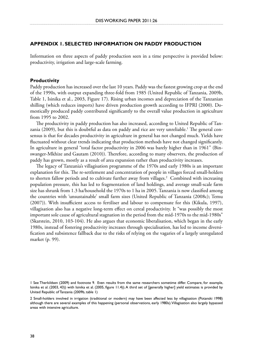### **Appendix 1. Selected information on paddy production**

Information on three aspects of paddy production seen in a time perspective is provided below: productivity, irrigation and large-scale farming.

### **Productivity**

Paddy production has increased over the last 10 years. Paddy was the fastest growing crop at the end of the 1990s, with output expanding three-fold from 1985 (United Republic of Tanzania, 2009b, Table 1, Isinika et al., 2003, Figure 17). Rising urban incomes and depreciation of the Tanzanian shilling (which reduces imports) have driven production growth according to IFPRI (2000). Domestically produced paddy contributed significantly to the overall value production in agriculture from 1995 to 2002.

The productivity in paddy production has also increased, according to United Republic of Tanzania (2009), but this is doubtful as data on paddy and rice are very unreliable. $^{\rm 1}$  The general consensus is that for decades productivity in agriculture in general has not changed much. Yields have fluctuated without clear trends indicating that production methods have not changed significantly. In agriculture in general "total factor productivity in 2006 was barely higher than in 1961" (Binswanger-Mkhize and Gautam (2010)). Therefore, according to many observers, the production of paddy has grown, mostly as a result of area expansion rather than productivity increases.

The legacy of Tanzania's villagisation programme of the 1970s and early 1980s is an important explanation for this. The re-settlement and concentration of people in villages forced small-holders to shorten fallow periods and to cultivate further away from villages.<sup>2</sup> Combined with increasing population pressure, this has led to fragmentation of land holdings, and average small-scale farm size has shrunk from 1.3 ha/household the 1970s to 1 ha in 2005. Tanzania is now classified among the countries with 'unsustainable' small farm sizes (United Republic of Tanzania (2008c); Temu (2007)). With insufficient access to fertiliser and labour to compensate for this (Kikula, 1997), villagisation also has a negative long-term effect on cereal productivity. It "was possibly the most important sole cause of agricultural stagnation in the period from the mid-1970s to the mid-1980s" (Skarstein, 2010, 103-104). He also argues that economic liberalisation, which began in the early 1980s, instead of fostering productivity increases through specialisation, has led to income diversification and subsistence fallback due to the risks of relying on the vagaries of a largely unregulated market (p. 99).

<sup>1</sup> See Therkildsen (2009) and footnote 9. Even results from the same researchers sometime differ. Compare, for example, Isinika et al. (2003, 43)) with Isinika et al. (2005, figure 11.4)). A third set of [generally higher] yield estimates is provided by United Republic of Tanzania (2009b, table 1)

<sup>2</sup> Small-holders involved in irrigation (traditional or modern) may have been affected less by villagisation (Potanski 1998) although there are several examples of this happening (personal observations, early 1980s). Villagisation also largely bypassed areas with intensive agriculture.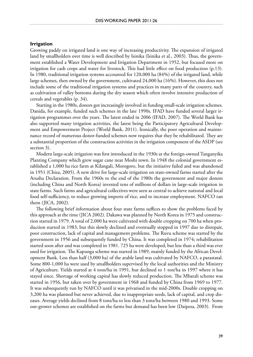### **Irrigation**

Growing paddy on irrigated land is one way of increasing productivity. The expansion of irrigated land by smallholders over time is well described by Isinika (Isinika et al., 2003). Thus, the government established a Water Development and Irrigation Department in 1952, but focused more on irrigation for cash crops and water for livestock. This had little effect on food production (p.13). In 1980, traditional irrigation systems accounted for 120,000 ha (84%) of the irrigated land, while large schemes, then owned by the government, cultivated 24,000 ha (16%). However, this does not include some of the traditional irrigation systems and practices in many parts of the country, such as cultivation of valley bottoms during the dry season which often involve intensive production of cereals and vegetables (p. 34).

Starting in the 1980s, donors got increasingly involved in funding small-scale irrigation schemes. Danida, for example, funded such schemes in the late 1990s. IFAD have funded several larger irrigation programmes over the years. The latest ended in 2006 (IFAD, 2007). The World Bank has also supported many irrigation activities, the latest being the Participatory Agricultural Development and Empowerment Project (World Bank, 2011). Ironically, the poor operation and maintenance record of numerous donor-funded schemes now requires that they be rehabilitated. They are a substantial proportion of the construction activities in the irrigation component of the ASDP (see section 3).

Modern large-scale irrigation was first introduced in the 1930s at the foreign-owned Tanganyika Planting Company which grew sugar cane near Moshi town. In 1948 the colonial government established a 1,000 ha rice farm at Kilangali, Morogoro, but the initiative failed and was abandoned in 1951 (Chiza, 2005). A new drive for large-scale irrigation on state-owned farms started after the Arusha Declaration. From the 1960s to the end of the 1980s the government and major donors (including China and North Korea) invested tens of millions of dollars in large-scale irrigation in state farms. Such farms and agricultural collectives were seen as central to achieve national and local food self-sufficiency, to reduce growing imports of rice, and to increase employment. NAFCO ran them (JICA, 2002).

The following brief information about four state farms suffices to show the problems faced by this approach at the time (JICA 2002). Dakawa was planned by North Korea in 1975 and construction started in 1979. A total of 2,000 ha were cultivated with double cropping on 700 ha when production started in 1983, but this slowly declined and eventually stopped in 1997 due to disrepair, poor construction, lack of capital and management problems. The Ruvu scheme was started by the government in 1956 and subsequently funded by China. It was completed in 1974; rehabilitation started soon after and was completed in 1981. 725 ha were developed, but less than a third was ever used for irrigation. The Kapunga scheme was started in 1989, mainly funded by the African Development Bank. Less than half (3,000 ha) of the arable land was cultivated by NAFCO, a parastatal. Some 800-1,000 ha were used by smallholders supervised by the local authorities and the Ministry of Agriculture. Yields started at 4 tons/ha in 1991, but declined to 1 ton/ha in 1997 where it has stayed since. Shortage of working capital has slowly reduced production. The Mbarali scheme was started in 1956, but taken over by government in 1968 and funded by China from 1969 to 1977. It was subsequently run by NAFCO until it was privatised in the mid-2000s. Double cropping on 3,200 ha was planned but never achieved, due to inappropriate seeds, lack of capital, and crop diseases. Average yields declined from 8 tons/ha to less than 3 tons/ha between 1980 and 1993. Some out-grower schemes are established on the farms but demand has been low (Daipesa, 2003). From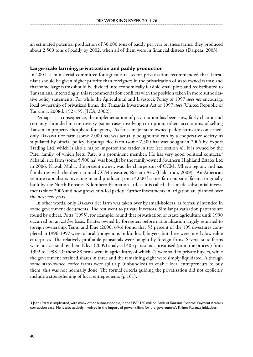an estimated potential production of 30,000 tons of paddy per year on these farms, they produced about 2,500 tons of paddy by 2002, when all of them were in financial distress (Daipesa, 2003)

#### **Large-scale farming, privatization and paddy production**

In 2001, a ministerial committee for agricultural sector privatization recommended that Tanzanians should be given higher priority than foreigners in the privatization of state-owned farms; and that some large farms should be divided into economically feasible small plots and redistributed to Tanzanians. Interestingly, this recommendation conflicts with the position taken in more authoritative policy statements. For while the Agricultural and Livestock Policy of 1997 *does not* encourage local ownership of privatized firms, the Tanzania Investment Act of 1997 *does* (United Republic of Tanzania, 2008d, 152-155, JICA, 2002).

Perhaps as a consequence, the implementation of privatisation has been slow, fairly chaotic and certainly shrouded in controversy (some cases involving corruption; others accusations of selling Tanzanian property cheaply to foreigners). As far as major state-owned paddy farms are concerned, only Dakawa rice farm (some 2,000 ha) was actually bought and run by a cooperative society, as stipulated by official policy. Kapunga rice farm (some 7,500 ha) was bought in 2006 by Export Trading Ltd, which is also a major importer and trader in rice (see section 4). It is owned by the Patel family, of which Jeetu Patel is a prominent member. He has very good political contacts.<sup>3</sup> Mbarali rice farm (some 5,500 ha) was bought by the family-owned Southern Highland Estates Ltd in 2006. Nawab Mulla, the present owner, was the chairperson of CCM, Mbeya region, and has family ties with the then national CCM treasurer, Rostam Aziz (Hakiarhdi, 2009). An American venture capitalist is investing in and producing on a 4,000 ha rice farm outside Ifakara, originally built by the North Koreans. Kilombero Plantation Ltd, as it is called, has made substantial investments since 2006 and now grows rain-fed paddy. Further investments in irrigation are planned over the next few years.

In other words, only Dakawa rice farm was taken over by small-holders, as formally intended in some government documents. The rest went to private investors. Similar privatisation patterns are found by others. Potts (1995), for example, found that privatisation of estate agriculture until 1990 occurred on an *ad hoc* basis. Estates owned by foreigners before nationalisation largely returned to foreign ownership. Temu and Due (2000, 696) found that 53 percent of the 199 divestures completed in 1996-1997 were to local (indigenous and/or local) buyers, but these were mostly low value enterprises. The relatively profitable parastatals were bought by foreign firms. Several state farms were not yet sold by then. Nkya (2009) analysed 403 parastatals privatised (or in the process) from 1992 to 1998. Of these 88 firms were in agriculture, of which 77 were sold to private buyers, while the government retained shares in three and the remaining eight were simply liquidated. Although some state-owned coffee farms were split up (unbundled) to enable local entrepreneurs to buy them, this was not normally done. The formal criteria guiding the privatisation did not explicitly include a strengthening of local entrepreneurs (p.161).

Jeetu Patel is implicated, with many other businesspeople, in the USD 130 million Bank of Tanzania External Payment Arrears corruption case. He is also actively involved in the import of power tillers for the government's Kilimo Kwanza initiatives.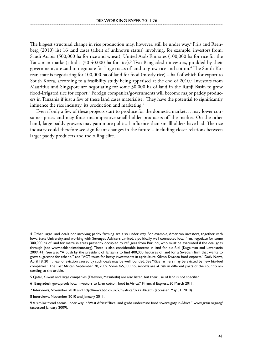The biggest structural change in rice production may, however, still be under way.<sup>4</sup> Friis and Reenberg (2010) list 16 land cases (albeit of unknown status) involving, for example, investors from: Saudi Arabia (500,000 ha for rice and wheat); United Arab Emirates (100,000 ha for rice for the Tanzanian market); India (30-40.000 ha for rice).5 Two Bangladeshi investors, prodded by their government, are said to negotiate for large tracts of land to grow rice and cotton.6 The South Korean state is negotiating for 100,000 ha of land for food (mostly rice) – half of which for export to South Korea, according to a feasibility study being appraised at the end of 2010.7 Investors from Mauritius and Singapore are negotiating for some 30,000 ha of land in the Rufiji Basin to grow flood-irrigated rice for export.8 Foreign companies/governments will become major paddy producers in Tanzania if just a few of these land cases materialise. They have the potential to significantly influence the rice industry, its production and marketing.<sup>9</sup>

Even if only a few of these projects start to produce for the domestic market, it may lower consumer prices and may force uncompetitive small-holder producers off the market. On the other hand, large paddy growers may gain more political influence than smallholders have had. The rice industry could therefore see significant changes in the future – including closer relations between larger paddy producers and the ruling elite.

 Other large land deals not involving paddy farming are also under way. For example, American investors, together with lowa State University, and working with Serengeti Advisers Limited, a politically well connected local firm, negotiate for some 300,000 ha of land for maize in areas presently occupied by refugees from Burundi, who must be evacuated if the deal goes through (see www.oaklandinstitute.org). There is also considerable interest in land for bio-fuel (Kugelman and Levenstein 2009, 41). See also "A push by the president of Tanzania to find 400,000 hectares of land for a Swedish firm that wants to grow sugarcane for ethanol" and "ACT touts for heavy investments in agriculture Kilimo Kwanza food exports." Daily News, April 18, 2011. Fear of eviction caused by such deals may be well founded. See "Rice farmers may be evicted by new bio-fuel companies." The East African, September 28, 2009. Some 4-5,000 households are at risk in different parts of the country according to the article.

Qatar, Kuwait and large companies (Daewoo, Mitsubishi) are also listed, but their use of land is not specified.

6 "Bangladesh govt. prods local investors to farm cotton, food in Africa." Financial Express. 30 March 2011.

Interviews, November 2010 and http://news.bbc.co.uk/2/hi/africa/8272506.stm (accessed May 31, 2010).

8 Interviews, November 2010 and January 2011.

9 A similar trend seems under way in West Africa: "Rice land grabs undermine food sovereignty in Africa." www.grain.org/atg/ (accessed January 2009).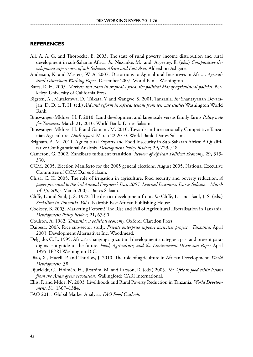#### **References**

- Ali, A. A. G. and Thorbecke, E. 2003. The state of rural poverty, income distribution and rural development in sub-Saharan Africa. *In:* Nissanke, M. and Aryeetey, E. (eds.) *Comparative development experiences of sub-Saharan Africa and East Asia.* Aldershot: Ashgate.
- Anderson, K. and Masters, W. A. 2007. Distortions to Agricultural Incentives in Africa. *Agricultural Distortions Working Paper* December 2007. World Bank. Washington.
- Bates, R. H. 2005. *Markets and states in tropical Africa: the political bias of agricultural policies*. Berkeley: University of California Press.
- Bigsten, A., Mutalemwa, D., Tsikata, Y. and Wangwe, S. 2001. Tanzania. *In:* Shantayanan Devarajan, D. D. a. T. H. (ed.) *Aid and reform in Africa: lessons from ten case studies* Washington World Bank
- Binswanger-Mkhize, H. P. 2010. Land development and large scale versus family farms *Policy note for Tanzania* March 21, 2010. World Bank. Dar es Salaam.
- Binswanger-Mkhize, H. P. and Gautam, M. 2010. Towards an Internationally Competitive Tanzanian Agriculture. *Draft report*. March 22 2010. World Bank. Dar es Salaam.
- Brigham, A. M. 2011. Agricultural Exports and Food Insecurity in Sub-Saharan Africa: A Qualititative Configurational Analysis. *Development Policy Review,* 29**,** 729-748.
- Cameron, G. 2002. Zanzibar's turbulent transition. *Review of African Political Economy,* 29**,** 313- 330.
- CCM. 2005. Election Manifesto for the 2005 general elections. August 2005. National Executive Committee of CCM Dar es Salaam.
- Chiza, C. K. 2005. The role of irrigation in agriculture, food security and poverty reduction. *A paper presented to the 3rd Annual Engineer's Day, 2005–Learned Discourse, Dar es Salaam – March 14-15, 2005.* March 2005. Dar es Salaam.
- Cliffe, L. and Saul, J. S. 1972. The district development front. *In:* Cliffe, L. and Saul, J. S. (eds.) *Socialism in Tanzania. Vol I.* Nairobi: East African Publishing House.
- Cooksey, B. 2003. Marketing Reform? The Rise and Fall of Agricultural Liberalisation in Tanzania. *Development Policy Review,* 21**,** 67-90.
- Coulson, A. 1982. *Tanzania: a political economy.* Oxford: Claredon Press.

Daipesa. 2003. Rice sub-sector study. *Private enterprise support activities project, Tanzania*. April 2003. Development Alternatives Inc. Woodmead.

- Delgado, C. L. 1995. Africa´s changing agricultural development strategies : past and present paradigms as a guide to the future. *Food, Agriculture, and the Environment Discussion Paper* April 1995. IFPRI Washington D.C.
- Diao, X., Hazell, P. and Thurlow, J. 2010. The role of agriculture in African Development. *World Development,* 38.
- Djurfeldt, G., Holmén, H., Jirstrõm, M. and Larsson, R. (eds.) 2005. *The African food crisis: lessons from the Asian green revolution.* Wallingford: CABI International.

Ellis, F. and Mdoe, N. 2003. Livelihoods and Rural Poverty Reduction in Tanzania. *World Development,* 31**,** 1367–1384.

FAO 2011. Global Market Analysis. *FAO Food Outlook.*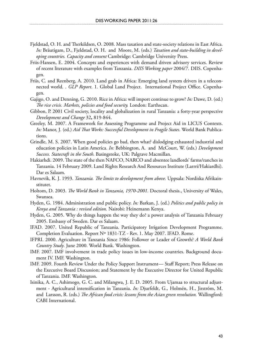- Fjeldstad, O. H. and Therkildsen, O. 2008. Mass taxation and state-society relations in East Africa. *In:* Bräutigam, D., Fjeldstad, O. H. and Moore, M. (eds.) *Taxation and state-building in developing countries. Capacity and consent* Cambridge: Cambridge University Press.
- Friis-Hansen, E. 2004. Concepts and experiences with demand driven advisory services. Review of recent literature with examples from Tanzania. *DIIS Working paper* 2004/7. DIIS. Copenhagen.
- Friis, C. and Reenberg, A. 2010. Land grab in Africa: Emerging land system drivers in a teleconnected world. . *GLP Report*. 1. Global Land Project. International Project Office. Copenhagen.
- Gajigo, O. and Denning, G. 2010. Rice in Africa: will import continue to grow? *In:* Dawe, D. (ed.) *The rice crisis. Markets, policies and food security.* London: Earthscan.
- Gibbon, P. 2001 Civil society, locality and globalization in rural Tanzania: a forty-year perspective *Development and Change* 32**,** 819-844.
- Greeley, M. 2007. A Framework for Assessing Programme and Project Aid in LICUS Contexts. *In:* Manor, J. (ed.) *Aid That Works: Successful Development in Fragile States.* World Bank Publications.
- Grindle, M. S. 2007. When good policies go bad, then what? dislodging exhausted industrial and education policies in Latin America. *In:* Bebbington, A. and McCourt, W. (eds.) *Development Success. Statecraft in the South.* Basingstoke, UK: Palgrave Macmillan.
- Hakiarhdi. 2009. The state of the then NAFCO, NARCO and absentee landlords' farms/ranches in Tanzania. 14 February 2009. Land Rights Research And Resources Institute (Larrri/Hakiardhi). Dar es Salaam.
- Havnevik, K. J. 1993. *Tanzania. The limits to development from above.* Uppsala: Nordiska Afrikainstitutet.
- Holtom, D. 2003. *The World Bank in Tanzania, 1970-2001.* Doctoral thesis., University of Wales, Swansea.
- Hyden, G. 1984. Administration and public policy. *In:* Barkan, J. (ed.) *Politics and public policy in Kenya and Tanzania : revised edition.* Nairobi: Heinemann Kenya.
- Hyden, G. 2005. Why do things happen the way they do? a power analysis of Tanzania February 2005. Embassy of Sweden. Dar es Salaam.
- IFAD. 2007. United Republic of Tanzania. Participatory Irrigation Development Programme. Completion Evaluation. Report Nº 1831-TZ - Rev. 1. May 2007. IFAD. Rome.
- IFPRI. 2000. Agriculture in Tanzania Since 1986: Follower or Leader of Growth? *A World Bank Country Study*. June 2000. World Bank. Washington.
- IMF. 2007. IMF involvement in trade policy issues in low-income countries. Background document IV. IMF. Washington.
- IMF. 2009. Fourth Review Under the Policy Support Instrument— Staff Report; Press Release on the Executive Board Discussion; and Statement by the Executive Director for United Republic of Tanzania. IMF. Washington.
- Isinika, A. C., Ashimogo, G. C. and Milangwa, J. E. D. 2005. From Ujamaa to structural adjustment - Agricultural intensification in Tanzania. *In:* Djurfeldt, G., Holmén, H., Jirstrõm, M. and Larsson, R. (eds.) *The African food crisis: lessons from the Asian green revolution.* Wallingford: CABI International.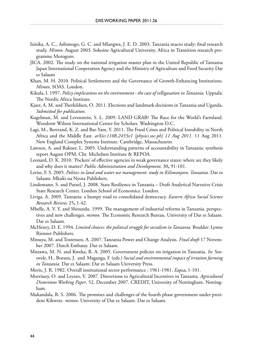- Isinika, A. C., Ashimogo, G. C. and Mlangwa, J. E. D. 2003. Tanzania macro study: final research study. *Mimeo*. August 2003. Sokoine Agricultural University. Africa in Transition research programme Morogoro.
- JICA. 2002. The study on the national irrigation master plan in the United Republic of Tanzania Japan International Cooperation Agency and the Ministry of Agriculture and Food Security Dar es Salaam
- Khan, M. H. 2010. Political Settlements and the Governance of Growth-Enhancing Institutions. *Mimeo*. SOAS. London.
- Kikula, I. 1997. *Policy implications on the environment the case of villigasation in Tanzania.* Uppsala: The Nordic Africa Institute.
- Kjaer, A. M. and Therkildsen, O. 2011. Elections and landmark decisions in Tanzania and Uganda. *Submitted for publication*.
- Kugelman, M. and Levenstein, S. L. 2009. LAND GRAB? The Race for the World's Farmland. Woodrow Wilson International Center for Scholars. Washington D.C.
- Lagi, M., Bertrand, K. Z. and Bar-Yam, Y. 2011. The Food Crises and Political Instability in North Africa and the Middle East. *arXiv:1108.2455v1 [physics.soc-ph] 11 Aug 2011*. 11 Aug 2011. New England Complex Systems Institute. Cambridge, Massachusetts
- Lawson, A. and Rakner, L. 2005. Understanding patterns of accountability in Tanzania: synthesis report August OPM, Chr. Michelsen Institute & REPOA.
- Leonard, D. K. 2010. 'Pockets' of effective agencies in weak governance states: where are they likely and why does it matter? *Public Administration and Development,* 30**,** 91-101.
- Lerise, F. S. 2005. *Politics in land and water use management: study in Kilimanjaro, Tanzania.* Dar es Salaam: Mkuki na Nyota Publishers.
- Lindemann, S. and Putzel, J. 2008. State Resilience in Tanzania Draft Analytical Narrative Crisis State Research Center. London School of Economics. London.
- Liviga, A. 2009. Tanzania: a bumpy road to consolidated democracy. *Eastern Africa Social Science Research Review,* 25**,** 1-42.
- Mbelle, A. V. Y. and Shitundu. 1999. The management of industrial reforms in Tanzania. perspectives and new challenges. *mimeo*. The Economic Research Bureau. University of Dar es Salaam. Dar es Salaam.
- McHenry, D. E. 1994. *Limited choices: the political struggle for socialism in Tanzania.* Boulder: Lynne Rienner Publishers.
- Mmuya, M. and Tostensen, A. 2007. Tanzania Power and Change Analysis. *Final draft* 17 November 2007. Dutch Embassy. Dar es Salaam.
- Mnzawa, M. N. and Kweka, R. A. 2005. Government policies on irrigation in Tanzania. *In:* Sosovele, H., Boesen, J. and Maganga, F. (eds.) *Social and environmental impact of irriation farming in Tanzania.* Dar es Salaam: Dar es Salaam University Press.
- Moris, J. R. 1982. Overall institutional sector performance : 1961-1981. *Eapsa***,** 1-101.
- Morrissey, O. and Leyaro, V. 2007. Distortions to Agricultural Incentives in Tanzania. *Agricultural Distortions Working Paper*. 52. December 2007. CREDIT, University of Nottingham. Nottingham.
- Mukandala, R. S. 2006. The promises and challenges of the fourth phase government under president Kikwete. *mimeo*. University of Dar es Salaam. Dar es Salaam.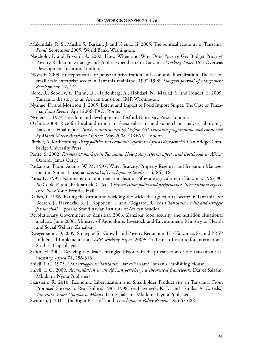- Mukandala, R. S., Mushi, S., Barkan, J. and Njema, G. 2005. The political economy of Tanzania. *Final*. September 2005. World Bank. Washington.
- Naschold, F. and Fozzard, A. 2002. How, When and Why Does Poverty Get Budget Priority? Poverty Reduction Strategy and Public Expenditure in Tanzania. *Working Paper* 165. Overseas Development Institute. London.
- Nkya, E. 2009. Entrepreneurial response to privatization and economic liberalization: The case of small scale enterprise secotr in Tanzania mainland, 1992-1998. *Uongozi journal of mangement development,* 12**,** 141.
- Nord, R., Sobolev, Y., Dunn, D., Hajdenberg, A., Hobdari, N., Maziad, S. and Roudet, S. 2009. Tanzania: the story of an African transition. IMF. Washington.
- Nyange, D. and Morrison, J. 2005. Extent and Impact of Food Import Surges: The Case of Tanzania. *Final Report*. April 2006. FAO. Rome.
- Nyerere, J. 1973. Freedom and development. . Oxford University Press. London.
- Oxfam. 2008. Rice for local and export markets: subsector and value chain analysis. Shinyanga Tanzania. Final report. *Study commissioned by Oxfam GB Tanzania programmme and conducted by Match Maker Associates Limited*. May 2008. OXFAM London.
- Pitcher, A. forthcoming. *Party politics and economic reform in Africa's democracies.* Cambridge: Cambridge University Press
- Ponte, S. 2002. *Farmers & markets in Tanzania: How policy reforms affect rural livelihoods in Africa.* Oxford: James Curry.
- Potkanski, T. and Adams, W. M. 1997. Water Scarcity, Property Regimes and Irrigation Management in Sonjo, Tanzania. *Journal of Development Studies,* 34**,** 86-116.
- Potts, D. 1995. Nationalisation and denationalisation of estate agriculture in Tanzania, 1967-90. *In:* Cook, P. and Kirkpatrick, C. (eds.) *Privatisation policy and performance. International experience.* New York: Prentice Hall.
- Raikes, P. 1986. Eating the carrot and wielding the stick: the agricultural sector in Tanzania. *In:* Boesen, J., Havnevik, K. J., Koponen, J. and Odgaard, R. (eds.) *Tanzania : crisis and struggle for survival.* Uppsala: Scandinavian Institute of African Studies.
- Revolutionary Government of Zanzibar. 2006. Zanzibar food security and nutrition situational analysis. June 2006. Ministry of Agriculture, Livestock and Environment; Ministry of Health and Social Welfare. Zanzibar.
- Rweyemamu, D. 2009. Strategies for Growth and Poverty Reduction: Has Tanzania's Second PRSP Influenced Implementation? *EPP Working Paper*. 2009: 13. Danish Institute for International Studies. Copenhagen.
- Sabea, H. 2001. Reviving the dead: entangled histories in the privatisation of the Tanzanian sisal industry. *Africa* 71**,** 286-313.
- Shivji, I. G. 1975. *Class struggles in Tanzania.* Dar es Salaam: Tanzania Publishing House.
- Shivji, I. G. 2009. *Accumulation in an African periphery: a theoretical framework.* Dar es Salaam: Mkuki na Nyota Publishers.
- Skarstein, R. 2010. Economic Liberalization and Smallholder Productivity in Tanzania. From Promised Success to Real Failure, 1985–1998. *In:* Havnevik, K. J. and Isinika, A. C. (eds.) *Tanzania. From Ujamaa to Mkapa.* Dar es Salaam: Mkuki na Nyota Publishers.
- Swinnen, J. 2011. The Right Price of Food. *Development Policy Review,* 29**,** 667-688.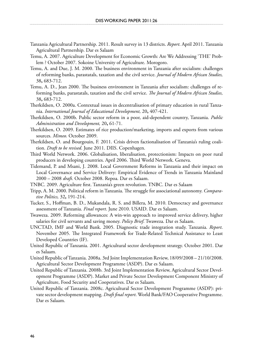- Tanzania Agricultural Partnership. 2011. Result survey in 13 districts. *Report*. April 2011. Tanzania Agricultural Partnership. Dar es Salaam
- Temu, A. 2007. Agriculture Development for Economic Growth: Are We Addressing 'THE' Problem ? October 2007. Sokoine University of Agriculture. Morogoro.
- Temu, A. and Due, J. M. 2000. The business environment in Tanzania after socialism: challenges of reforming banks, parastatals, taxation and the civil service. *Journal of Modern African Studies,* 38**,** 683-712.
- Temu, A. D., Jean 2000. The business environment in Tanzania after socialism: challenges of reforming banks, parastatals, taxation and the civil service. *The Journal of Modern African Studies,* 38**,** 683-712.
- Therkildsen, O. 2000a. Contextual issues in decentralisation of primary education in rural Tanzania. *International Journal of Educational Development,* 20**,** 407-421.
- Therkildsen, O. 2000b. Public sector reform in a poor, aid-dependent country, Tanzania. *Public Administration and Development,* 20**,** 61-71.
- Therkildsen, O. 2009. Estimates of rice production/marketing, imports and exports from various sources. *Mimeo.* October 2009.
- Therkildsen, O. and Bourgouin, F. 2011. Crisis driven factionalisation of Tanzania's ruling coalition. *Draft to be revised*. June 2011. DIIS. Copenhagen.
- Third World Network. 2006. Globalisation, liberalisation, protectionism: Impacts on poor rural producers in developing countries. April 2006. Third World Network. Geneva.
- Tidemand, P. and Msani, J. 2008. Local Government Reforms in Tanzania and their impact on Local Governance and Service Delivery: Empirical Evidence of Trends in Tanzania Mainland 2000 – 2008 *draft*. October 2008. Repoa. Dar es Salaam.
- TNBC. 2009. Agriculture first. Tanzania's green revolution. TNBC. Dar es Salaam
- Tripp, A. M. 2000. Political reform in Tanzania. The struggle for associational autonomy. *Comparative Politics,* 32**,** 191-214.
- Tucker, S., Hoffman, B. D., Mukandala, R. S. and Billera, M. 2010. Democracy and governance assessment of Tanzania. *Final report*. June 2010. USAID. Dar es Salaam.
- Twaweza. 2009. Reforming allowances: A win-win approach to improved service delivery, higher salaries for civil servants and saving money. *Policy Brief*. Twaweza. Dar es Salaam.
- UNCTAD, IMF and World Bank. 2005. Diagnostic trade integration study. Tanzania. *Report*. November 2005. The Integrated Framework for Trade-Related Technical Assistance to Least Developed Countries (IF).
- United Republic of Tanzania. 2001. Agricultural sector development strategy. October 2001. Dar es Salaam.
- United Republic of Tanzania. 2008a. 3rd Joint Implementation Review, 18/09/2008 21/10/2008. Agricultural Sector Development Programme (ASDP). Dar es Salaam.
- United Republic of Tanzania. 2008b. 3rd Joint Implementation Review, Agricultural Sector Development Programme (ASDP). Market and Private Sector Development Component Ministry of Agriculture, Food Security and Cooperatives. Dar es Salaam.
- United Republic of Tanzania. 2008c. Agricultural Sector Development Programme (ASDP): private sector development mapping. *Draft final report*. World Bank/FAO Cooperative Programme. Dar es Salaam.